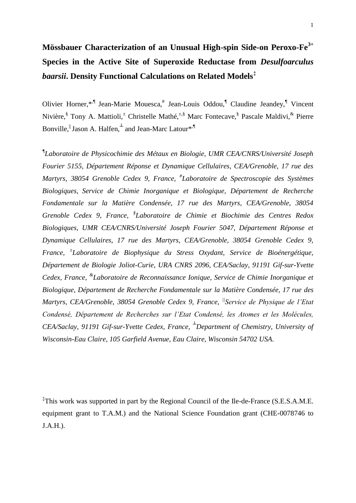#### 1

# **Mössbauer Characterization of an Unusual High-spin Side-on Peroxo-Fe3+ Species in the Active Site of Superoxide Reductase from** *Desulfoarculus baarsii***. Density Functional Calculations on Related Models‡**

Olivier Horner,\*<sup>,¶</sup> Jean-Marie Mouesca,# Jean-Louis Oddou,<sup>¶</sup> Claudine Jeandey,<sup>¶</sup> Vincent Nivière,<sup>§</sup> Tony A. Mattioli,<sup>±</sup> Christelle Mathé,<sup>±,§</sup> Marc Fontecave,<sup>§</sup> Pascale Maldivi,<sup>&</sup> Pierre Bonville, Jason A. Halfen, and Jean-Marc Latour<sup>\*,¶</sup>

*¶ Laboratoire de Physicochimie des Métaux en Biologie, UMR CEA/CNRS/Université Joseph Fourier 5155, Département Réponse et Dynamique Cellulaires, CEA/Grenoble, 17 rue des Martyrs, 38054 Grenoble Cedex 9, France, # Laboratoire de Spectroscopie des Systèmes Biologiques, Service de Chimie Inorganique et Biologique, Département de Recherche Fondamentale sur la Matière Condensée, 17 rue des Martyrs, CEA/Grenoble, 38054 Grenoble Cedex 9, France, § Laboratoire de Chimie et Biochimie des Centres Redox Biologiques, UMR CEA/CNRS/Université Joseph Fourier 5047, Département Réponse et Dynamique Cellulaires, 17 rue des Martyrs, CEA/Grenoble, 38054 Grenoble Cedex 9, France, <sup>±</sup> Laboratoire de Biophysique du Stress Oxydant, Service de Bioénergétique, Département de Biologie Joliot-Curie, URA CNRS 2096, CEA/Saclay, 91191 Gif-sur-Yvette Cedex, France, & Laboratoire de Reconnaissance Ionique, Service de Chimie Inorganique et Biologique, Département de Recherche Fondamentale sur la Matière Condensée, 17 rue des Martyrs, CEA/Grenoble, 38054 Grenoble Cedex 9, France, ||Service de Physique de l'Etat Condensé, Département de Recherches sur l'Etat Condensé, les Atomes et les Molécules, CEA/Saclay, 91191 Gif-sur-Yvette Cedex, France, ┴Department of Chemistry, University of Wisconsin-Eau Claire, 105 Garfield Avenue, Eau Claire, Wisconsin 54702 USA.*

‡ This work was supported in part by the Regional Council of the Ile-de-France (S.E.S.A.M.E. equipment grant to T.A.M.) and the National Science Foundation grant (CHE-0078746 to J.A.H.).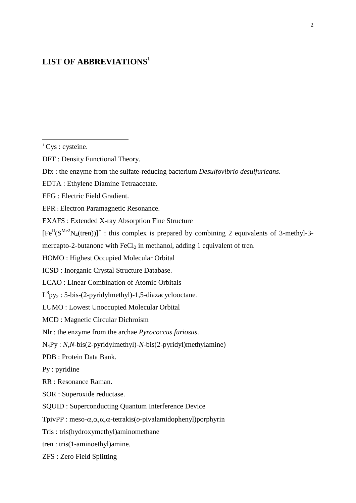## **LIST OF ABBREVIATIONS<sup>1</sup>**

1

EFG : Electric Field Gradient.

EPR : Electron Paramagnetic Resonance.

EXAFS : Extended X-ray Absorption Fine Structure

 $[Fe^{II}(S^{Me2}N_4(tren))]^+$ : this complex is prepared by combining 2 equivalents of 3-methyl-3-

mercapto-2-butanone with  $FeCl<sub>2</sub>$  in methanol, adding 1 equivalent of tren.

HOMO : Highest Occupied Molecular Orbital

ICSD : Inorganic Crystal Structure Database.

LCAO : Linear Combination of Atomic Orbitals

 $L^{8}py_{2}$ : 5-bis-(2-pyridylmethyl)-1,5-diazacyclooctane.

LUMO : Lowest Unoccupied Molecular Orbital

MCD : Magnetic Circular Dichroism

Nlr : the enzyme from the archae *Pyrococcus furiosus*.

N4Py : *N,N*-bis(2-pyridylmethyl)-*N*-bis(2-pyridyl)methylamine)

PDB : Protein Data Bank.

Py : pyridine

RR : Resonance Raman.

SOR : Superoxide reductase.

SQUID : Superconducting Quantum Interference Device

TpivPP : meso- $\alpha, \alpha, \alpha, \alpha$ -tetrakis( $\alpha$ -pivalamidophenyl)porphyrin

Tris : tris(hydroxymethyl)aminomethane

tren : tris(1-aminoethyl)amine.

ZFS : Zero Field Splitting

<sup>&</sup>lt;sup>1</sup> Cys : cysteine.

DFT : Density Functional Theory.

Dfx : the enzyme from the sulfate-reducing bacterium *Desulfovibrio desulfuricans*.

EDTA : Ethylene Diamine Tetraacetate.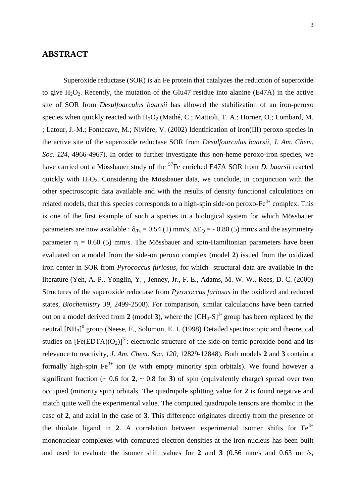#### **ABSTRACT**

Superoxide reductase (SOR) is an Fe protein that catalyzes the reduction of superoxide to give  $H_2O_2$ . Recently, the mutation of the Glu47 residue into alanine (E47A) in the active site of SOR from *Desulfoarculus baarsii* has allowed the stabilization of an iron-peroxo species when quickly reacted with  $H_2O_2$  (Mathé, C.; Mattioli, T. A.; Horner, O.; Lombard, M. ; Latour, J.-M.; Fontecave, M.; Nivière, V. (2002) Identification of iron(III) peroxo species in the active site of the superoxide reductase SOR from *Desulfoarculus baarsii*, *J. Am. Chem. Soc. 124*, 4966-4967). In order to further investigate this non-heme peroxo-iron species, we have carried out a Mössbauer study of the <sup>57</sup>Fe enriched E47A SOR from *D. baarsii* reacted quickly with  $H_2O_2$ . Considering the Mössbauer data, we conclude, in conjunction with the other spectroscopic data available and with the results of density functional calculations on related models, that this species corresponds to a high-spin side-on peroxo- $Fe<sup>3+</sup>$  complex. This is one of the first example of such a species in a biological system for which Mössbauer parameters are now available :  $\delta_{\text{Fe}} = 0.54$  (1) mm/s,  $\Delta E_{\text{Q}} = -0.80$  (5) mm/s and the asymmetry parameter  $\eta = 0.60$  (5) mm/s. The Mössbauer and spin-Hamiltonian parameters have been evaluated on a model from the side-on peroxo complex (model **2**) issued from the oxidized iron center in SOR from *Pyrococcus furiosus*, for which structural data are available in the literature (Yeh, A. P., Yonglin, Y. , Jenney, Jr., F. E., Adams, M. W. W., Rees, D. C. (2000) Structures of the superoxide reductase from *Pyrococcus furiosus* in the oxidized and reduced states, *Biochemistry 39*, 2499-2508). For comparison, similar calculations have been carried out on a model derived from 2 (model 3), where the  $\text{[CH}_3-S]^1$  group has been replaced by the neutral  $[NH_3]$ <sup>0</sup> group (Neese, F., Solomon, E. I. (1998) Detailed spectroscopic and theoretical studies on  $[Fe(EDTA)(O<sub>2</sub>)]<sup>3</sup>$ : electronic structure of the side-on ferric-peroxide bond and its relevance to reactivity, *J. Am. Chem. Soc. 120*, 12829-12848). Both models **2** and **3** contain a formally high-spin  $Fe^{3+}$  ion *(ie* with empty minority spin orbitals). We found however a significant fraction ( $\sim 0.6$  for 2,  $\sim 0.8$  for 3) of spin (equivalently charge) spread over two occupied (minority spin) orbitals. The quadrupole splitting value for **2** is found negative and match quite well the experimental value. The computed quadrupole tensors are rhombic in the case of **2**, and axial in the case of **3**. This difference originates directly from the presence of the thiolate ligand in 2. A correlation between experimental isomer shifts for  $Fe<sup>3+</sup>$ mononuclear complexes with computed electron densities at the iron nucleus has been built and used to evaluate the isomer shift values for **2** and **3** (0.56 mm/s and 0.63 mm/s,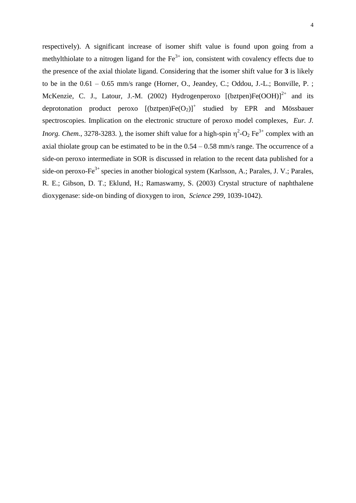respectively). A significant increase of isomer shift value is found upon going from a methylthiolate to a nitrogen ligand for the  $Fe<sup>3+</sup>$  ion, consistent with covalency effects due to the presence of the axial thiolate ligand. Considering that the isomer shift value for **3** is likely to be in the  $0.61 - 0.65$  mm/s range (Horner, O., Jeandey, C.; Oddou, J.-L.; Bonville, P.; McKenzie, C. J., Latour, J.-M. (2002) Hydrogenperoxo  $[(bztpen)Fe(OOH)]^{2+}$  and its deprotonation product peroxo  $[(bztpen)Fe(O<sub>2</sub>)]<sup>+</sup>$  studied by EPR and Mössbauer spectroscopies. Implication on the electronic structure of peroxo model complexes, *Eur. J. Inorg. Chem.*, 3278-3283. ), the isomer shift value for a high-spin  $\eta^2$ -O<sub>2</sub> Fe<sup>3+</sup> complex with an axial thiolate group can be estimated to be in the  $0.54 - 0.58$  mm/s range. The occurrence of a side-on peroxo intermediate in SOR is discussed in relation to the recent data published for a side-on peroxo-Fe<sup>3+</sup> species in another biological system (Karlsson, A.; Parales, J. V.; Parales, R. E.; Gibson, D. T.; Eklund, H.; Ramaswamy, S. (2003) Crystal structure of naphthalene dioxygenase: side-on binding of dioxygen to iron, *Science 299*, 1039-1042).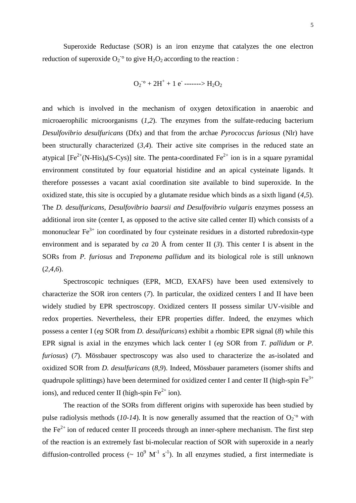Superoxide Reductase (SOR) is an iron enzyme that catalyzes the one electron reduction of superoxide  $O_2^{\text{-o}}$  to give  $H_2O_2$  according to the reaction :

 $O_2$ <sup>-o</sup> + 2H<sup>+</sup> + 1 e<sup>-</sup> -------> H<sub>2</sub>O<sub>2</sub>

and which is involved in the mechanism of oxygen detoxification in anaerobic and microaerophilic microorganisms (*1,2*). The enzymes from the sulfate-reducing bacterium *Desulfovibrio desulfuricans* (Dfx) and that from the archae *Pyrococcus furiosus* (Nlr) have been structurally characterized (*3,4*). Their active site comprises in the reduced state an atypical  $[Fe^{2+}(N-His)_{4}(S-Cys)]$  site. The penta-coordinated  $Fe^{2+}$  ion is in a square pyramidal environment constituted by four equatorial histidine and an apical cysteinate ligands. It therefore possesses a vacant axial coordination site available to bind superoxide. In the oxidized state, this site is occupied by a glutamate residue which binds as a sixth ligand (*4,5*). The *D. desulfuricans, Desulfovibrio baarsii and Desulfovibrio vulgaris* enzymes possess an additional iron site (center I, as opposed to the active site called center II) which consists of a mononuclear  $Fe^{3+}$  ion coordinated by four cysteinate residues in a distorted rubredoxin-type environment and is separated by *ca* 20 Å from center II (*3*). This center I is absent in the SORs from *P. furiosus* and *Treponema pallidum* and its biological role is still unknown (*2,4,6*).

Spectroscopic techniques (EPR, MCD, EXAFS) have been used extensively to characterize the SOR iron centers (*7*). In particular, the oxidized centers I and II have been widely studied by EPR spectroscopy. Oxidized centers II possess similar UV-visible and redox properties. Nevertheless, their EPR properties differ. Indeed, the enzymes which possess a center I (*eg* SOR from *D. desulfuricans*) exhibit a rhombic EPR signal (*8*) while this EPR signal is axial in the enzymes which lack center I (*eg* SOR from *T. pallidum* or *P. furiosus*) (*7*). Mössbauer spectroscopy was also used to characterize the as-isolated and oxidized SOR from *D. desulfuricans* (*8,9*). Indeed, Mössbauer parameters (isomer shifts and quadrupole splittings) have been determined for oxidized center I and center II (high-spin  $Fe^{3+}$ ions), and reduced center II (high-spin  $Fe<sup>2+</sup>$  ion).

The reaction of the SORs from different origins with superoxide has been studied by pulse radiolysis methods (10-14). It is now generally assumed that the reaction of  $O_2$ <sup>-</sup> with the  $Fe<sup>2+</sup>$  ion of reduced center II proceeds through an inner-sphere mechanism. The first step of the reaction is an extremely fast bi-molecular reaction of SOR with superoxide in a nearly diffusion-controlled process ( $\sim 10^9$  M<sup>-1</sup> s<sup>-1</sup>). In all enzymes studied, a first intermediate is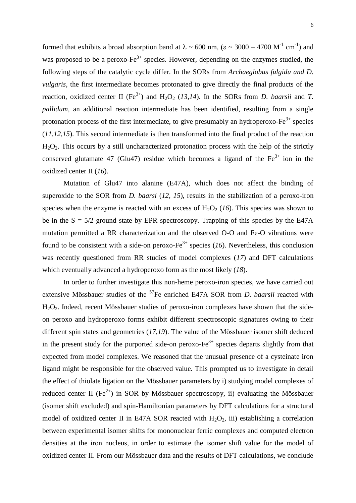formed that exhibits a broad absorption band at  $\lambda \sim 600$  nm, ( $\epsilon \sim 3000 - 4700$  M<sup>-1</sup> cm<sup>-1</sup>) and was proposed to be a peroxo- $Fe^{3+}$  species. However, depending on the enzymes studied, the following steps of the catalytic cycle differ. In the SORs from *Archaeglobus fulgidu and D. vulgaris*, the first intermediate becomes protonated to give directly the final products of the reaction, oxidized center II (Fe<sup>3+</sup>) and H<sub>2</sub>O<sub>2</sub> (13,14). In the SORs from *D. baarsii* and *T. pallidum*, an additional reaction intermediate has been identified, resulting from a single protonation process of the first intermediate, to give presumably an hydroperoxo- $Fe^{3+}$  species (*11,12,15*). This second intermediate is then transformed into the final product of the reaction H2O2. This occurs by a still uncharacterized protonation process with the help of the strictly conserved glutamate 47 (Glu47) residue which becomes a ligand of the  $Fe<sup>3+</sup>$  ion in the oxidized center II (*16*).

Mutation of Glu47 into alanine (E47A), which does not affect the binding of superoxide to the SOR from *D. baarsi* (*12, 15*), results in the stabilization of a peroxo-iron species when the enzyme is reacted with an excess of  $H_2O_2$  (16). This species was shown to be in the  $S = 5/2$  ground state by EPR spectroscopy. Trapping of this species by the E47A mutation permitted a RR characterization and the observed O-O and Fe-O vibrations were found to be consistent with a side-on peroxo- $Fe^{3+}$  species (16). Nevertheless, this conclusion was recently questioned from RR studies of model complexes (*17*) and DFT calculations which eventually advanced a hydroperoxo form as the most likely (*18*).

In order to further investigate this non-heme peroxo-iron species, we have carried out extensive Mössbauer studies of the <sup>57</sup>Fe enriched E47A SOR from *D. baarsii* reacted with H2O2. Indeed, recent Mössbauer studies of peroxo-iron complexes have shown that the sideon peroxo and hydroperoxo forms exhibit different spectroscopic signatures owing to their different spin states and geometries (*17,19*). The value of the Mössbauer isomer shift deduced in the present study for the purported side-on peroxo- $Fe<sup>3+</sup>$  species departs slightly from that expected from model complexes. We reasoned that the unusual presence of a cysteinate iron ligand might be responsible for the observed value. This prompted us to investigate in detail the effect of thiolate ligation on the Mössbauer parameters by i) studying model complexes of reduced center II ( $Fe^{2+}$ ) in SOR by Mössbauer spectroscopy, ii) evaluating the Mössbauer (isomer shift excluded) and spin-Hamiltonian parameters by DFT calculations for a structural model of oxidized center II in E47A SOR reacted with  $H_2O_2$ , iii) establishing a correlation between experimental isomer shifts for mononuclear ferric complexes and computed electron densities at the iron nucleus, in order to estimate the isomer shift value for the model of oxidized center II. From our Mössbauer data and the results of DFT calculations, we conclude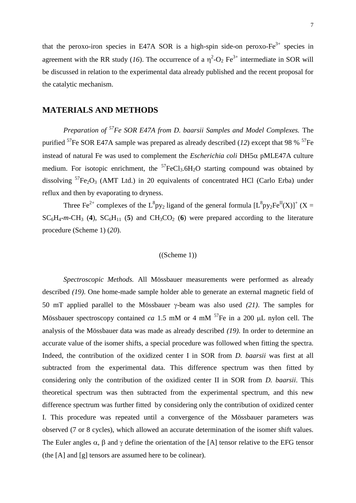that the peroxo-iron species in E47A SOR is a high-spin side-on peroxo- $Fe^{3+}$  species in agreement with the RR study (16). The occurrence of a  $\eta^2$ -O<sub>2</sub> Fe<sup>3+</sup> intermediate in SOR will be discussed in relation to the experimental data already published and the recent proposal for the catalytic mechanism.

## **MATERIALS AND METHODS**

*Preparation of <sup>57</sup>Fe SOR E47A from D. baarsii Samples and Model Complexes.* The purified  ${}^{57}$ Fe SOR E47A sample was prepared as already described (12) except that 98 %  ${}^{57}$ Fe instead of natural Fe was used to complement the *Escherichia coli*  $DH5\alpha$  pMLE47A culture medium. For isotopic enrichment, the  ${}^{57}FeCl_3.6H_2O$  starting compound was obtained by dissolving  ${}^{57}Fe_2O_3$  (AMT Ltd.) in 20 equivalents of concentrated HCl (Carlo Erba) under reflux and then by evaporating to dryness.

Three Fe<sup>2+</sup> complexes of the L<sup>8</sup>py<sub>2</sub> ligand of the general formula  $[L^8 py_2Fe^{II}(X)]^+(X =$  $SC_6H_4$ -m-CH<sub>3</sub> (4),  $SC_6H_{11}$  (5) and  $CH_3CO_2$  (6) were prepared according to the literature procedure (Scheme 1) (*20*).

#### $((\text{Scheme } 1))$

*Spectroscopic Methods.* All Mössbauer measurements were performed as already described *(19)*. One home-made sample holder able to generate an external magnetic field of 50 mT applied parallel to the Mössbauer  $\gamma$ -beam was also used (21). The samples for Mössbauer spectroscopy contained *ca* 1.5 mM or 4 mM  $^{57}$ Fe in a 200  $\mu$ L nylon cell. The analysis of the Mössbauer data was made as already described *(19)*. In order to determine an accurate value of the isomer shifts, a special procedure was followed when fitting the spectra. Indeed, the contribution of the oxidized center I in SOR from *D. baarsii* was first at all subtracted from the experimental data. This difference spectrum was then fitted by considering only the contribution of the oxidized center II in SOR from *D. baarsii*. This theoretical spectrum was then subtracted from the experimental spectrum, and this new difference spectrum was further fitted by considering only the contribution of oxidized center I. This procedure was repeated until a convergence of the Mössbauer parameters was observed (7 or 8 cycles), which allowed an accurate determination of the isomer shift values. The Euler angles  $\alpha$ ,  $\beta$  and  $\gamma$  define the orientation of the [A] tensor relative to the EFG tensor (the [A] and [g] tensors are assumed here to be colinear).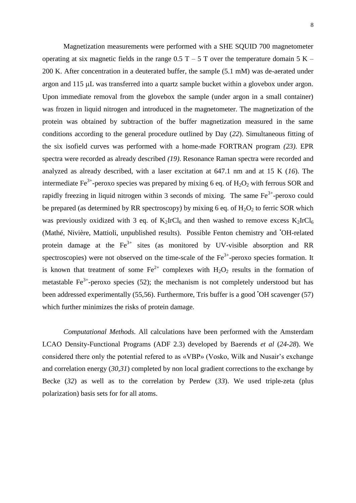Magnetization measurements were performed with a SHE SQUID 700 magnetometer operating at six magnetic fields in the range  $0.5$  T – 5 T over the temperature domain 5 K – 200 K. After concentration in a deuterated buffer, the sample (5.1 mM) was de-aerated under argon and  $115 \mu L$  was transferred into a quartz sample bucket within a glovebox under argon. Upon immediate removal from the glovebox the sample (under argon in a small container) was frozen in liquid nitrogen and introduced in the magnetometer. The magnetization of the protein was obtained by subtraction of the buffer magnetization measured in the same conditions according to the general procedure outlined by Day (*22*). Simultaneous fitting of the six isofield curves was performed with a home-made FORTRAN program *(23)*. EPR spectra were recorded as already described *(19)*. Resonance Raman spectra were recorded and analyzed as already described, with a laser excitation at 647.1 nm and at 15 K (*16*). The intermediate Fe<sup>3+</sup>-peroxo species was prepared by mixing 6 eq. of  $H_2O_2$  with ferrous SOR and rapidly freezing in liquid nitrogen within 3 seconds of mixing. The same  $Fe<sup>3+</sup>$ -peroxo could be prepared (as determined by RR spectroscopy) by mixing 6 eq. of  $H_2O_2$  to ferric SOR which was previously oxidized with 3 eq. of  $K_2IrCl_6$  and then washed to remove excess  $K_2IrCl_6$ (Mathé, Nivière, Mattioli, unpublished results). Possible Fenton chemistry and •OH-related protein damage at the  $Fe<sup>3+</sup>$  sites (as monitored by UV-visible absorption and RR spectroscopies) were not observed on the time-scale of the  $Fe<sup>3+</sup>$ -peroxo species formation. It is known that treatment of some  $Fe^{2+}$  complexes with  $H_2O_2$  results in the formation of metastable  $Fe^{3+}$ -peroxo species (52); the mechanism is not completely understood but has been addressed experimentally (55,56). Furthermore, Tris buffer is a good 'OH scavenger (57) which further minimizes the risks of protein damage.

*Computational Methods.* All calculations have been performed with the Amsterdam LCAO Density-Functional Programs (ADF 2.3) developed by Baerends *et al* (*24-28*). We considered there only the potential refered to as «VBP» (Vosko, Wilk and Nusair's exchange and correlation energy (*30,31*) completed by non local gradient corrections to the exchange by Becke (*32*) as well as to the correlation by Perdew (*33*). We used triple-zeta (plus polarization) basis sets for for all atoms.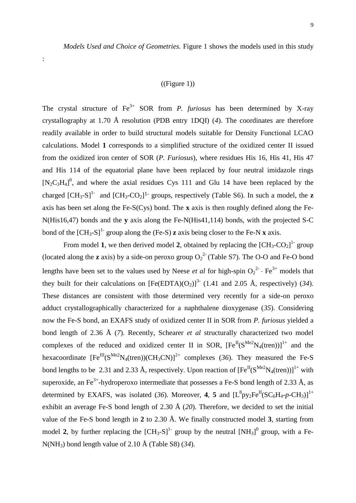*Models Used and Choice of Geometries.* Figure 1 shows the models used in this study

#### $((Figure 1))$

:

The crystal structure of  $Fe^{3+}$  SOR from *P. furiosus* has been determined by X-ray crystallography at 1.70 Å resolution (PDB entry 1DQI) (*4*). The coordinates are therefore readily available in order to build structural models suitable for Density Functional LCAO calculations. Model **1** corresponds to a simplified structure of the oxidized center II issued from the oxidized iron center of SOR (*P. Furiosus*), where residues His 16, His 41, His 47 and His 114 of the equatorial plane have been replaced by four neutral imidazole rings  $[N_2C_3H_4]^0$ , and where the axial residues Cys 111 and Glu 14 have been replaced by the charged  $\text{[CH}_3\text{-}S\text{]}^1$  and  $\text{[CH}_3\text{-}CO_2\text{]}^1$  groups, respectively (Table S6). In such a model, the **z** axis has been set along the Fe-S(Cys) bond. The **x** axis is then roughly defined along the Fe-N(His16,47) bonds and the **y** axis along the Fe-N(His41,114) bonds, with the projected S-C bond of the  $\text{[CH}_3\text{-}S\text{]}^1$  group along the (Fe-S) **z** axis being closer to the Fe-N **x** axis.

From model 1, we then derived model 2, obtained by replacing the  $\text{[CH}_3\text{-}CO_2\text{]}^1$  group (located along the **z** axis) by a side-on peroxo group  $O_2^2$  (Table S7). The O-O and Fe-O bond lengths have been set to the values used by Neese *et al* for high-spin  $O_2^2$  - Fe<sup>3+</sup> models that they built for their calculations on  $[Fe(EDTA)(O<sub>2</sub>)]<sup>3</sup>$  (1.41 and 2.05 Å, respectively) (34). These distances are consistent with those determined very recently for a side-on peroxo adduct crystallographically characterized for a naphthalene dioxygenase (*35*). Considering now the Fe-S bond, an EXAFS study of oxidized center II in SOR from *P. furiosus* yielded a bond length of 2.36 Å (*7*). Recently, Schearer *et al* structurally characterized two model complexes of the reduced and oxidized center II in SOR,  $[Fe^{II}(S^{Me2}N_4(tren))]^{1+}$  and the hexacoordinate  $[Fe^{III}(S^{Me2}N_4(tren))(CH_3CN)]^{2+}$  complexes (36). They measured the Fe-S bond lengths to be 2.31 and 2.33 Å, respectively. Upon reaction of  $[Fe^{II}(S^{Me2}N_{4}(\text{tren}))]^{1+}$  with superoxide, an Fe<sup>3+</sup>-hydroperoxo intermediate that possesses a Fe-S bond length of 2.33 Å, as determined by EXAFS, was isolated (36). Moreover, 4, 5 and  $[L^8py_2Fe^{II}(SC_6H_4-p-CH_3)]^{1+}$ exhibit an average Fe-S bond length of 2.30 Å (*20*). Therefore, we decided to set the initial value of the Fe-S bond length in **2** to 2.30 Å. We finally constructed model **3**, starting from model 2, by further replacing the  $\text{[CH}_3\text{-}S\text{]}^1$  group by the neutral  $\text{[NH}_3]^0$  group, with a Fe-N(NH3) bond length value of 2.10 Å (Table S8) (*34*).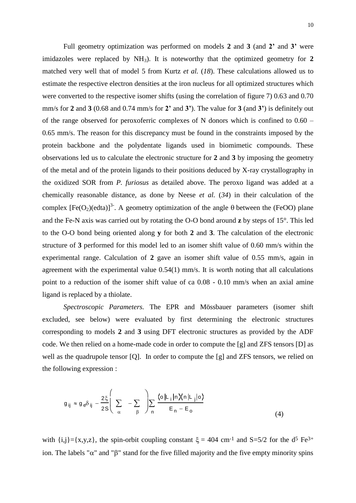Full geometry optimization was performed on models **2** and **3** (and **2'** and **3'** were imidazoles were replaced by  $NH<sub>3</sub>$ ). It is noteworthy that the optimized geometry for 2 matched very well that of model 5 from Kurtz *et al.* (*18*). These calculations allowed us to estimate the respective electron densities at the iron nucleus for all optimized structures which were converted to the respective isomer shifts (using the correlation of figure 7) 0.63 and 0.70 mm/s for **2** and **3** (0.68 and 0.74 mm/s for **2'** and **3'**). The value for **3** (and **3'**) is definitely out of the range observed for peroxoferric complexes of N donors which is confined to 0.60 – 0.65 mm/s. The reason for this discrepancy must be found in the constraints imposed by the protein backbone and the polydentate ligands used in biomimetic compounds. These observations led us to calculate the electronic structure for **2** and **3** by imposing the geometry of the metal and of the protein ligands to their positions deduced by X-ray crystallography in the oxidized SOR from *P. furiosus* as detailed above. The peroxo ligand was added at a chemically reasonable distance, as done by Neese *et al.* (*34*) in their calculation of the complex  $[Fe(O<sub>2</sub>)(edta)]<sup>3</sup>$ . A geometry optimization of the angle  $\theta$  between the (FeOO) plane and the Fe-N axis was carried out by rotating the O-O bond around **z** by steps of 15°. This led to the O-O bond being oriented along **y** for both **2** and **3**. The calculation of the electronic structure of **3** performed for this model led to an isomer shift value of 0.60 mm/s within the experimental range. Calculation of **2** gave an isomer shift value of 0.55 mm/s, again in agreement with the experimental value 0.54(1) mm/s. It is worth noting that all calculations point to a reduction of the isomer shift value of ca 0.08 - 0.10 mm/s when an axial amine ligand is replaced by a thiolate.

*Spectroscopic Parameters.* The EPR and Mössbauer parameters (isomer shift excluded, see below) were evaluated by first determining the electronic structures corresponding to models **2** and **3** using DFT electronic structures as provided by the ADF code. We then relied on a home-made code in order to compute the [g] and ZFS tensors [D] as well as the quadrupole tensor [Q]. In order to compute the [g] and ZFS tensors, we relied on the following expression :

$$
g_{ij} \approx g_e \delta_{ij} - \frac{2\xi}{2S} \left( \sum_{\alpha} - \sum_{\beta} \right) \sum_{n} \frac{\langle o | L_i | n \chi_n | L_j | o \rangle}{E_n - E_o}
$$
(4)

with  $\{i,j\} = \{x,y,z\}$ , the spin-orbit coupling constant  $\xi = 404$  cm<sup>-1</sup> and S=5/2 for the d<sup>5</sup> Fe<sup>3+</sup> ion. The labels " $\alpha$ " and " $\beta$ " stand for the five filled majority and the five empty minority spins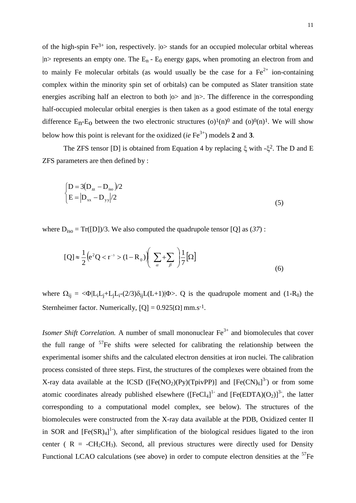of the high-spin Fe<sup>3+</sup> ion, respectively.  $|o>$  stands for an occupied molecular orbital whereas  $|n\rangle$  represents an empty one. The  $E_n - E_0$  energy gaps, when promoting an electron from and to mainly Fe molecular orbitals (as would usually be the case for a  $Fe^{2+}$  ion-containing complex within the minority spin set of orbitals) can be computed as Slater transition state energies ascribing half an electron to both  $|o>$  and  $|n>$ . The difference in the corresponding half-occupied molecular orbital energies is then taken as a good estimate of the total energy difference  $E_n-E_0$  between the two electronic structures (o)<sup>1</sup>(n)<sup>0</sup> and (o)<sup>0</sup>(n)<sup>1</sup>. We will show below how this point is relevant for the oxidized (*ie* Fe<sup>3+</sup>) models 2 and 3.

The ZFS tensor [D] is obtained from Equation 4 by replacing  $\xi$  with  $-\xi^2$ . The D and E ZFS parameters are then defined by :

$$
\begin{cases}\nD = 3(D_{\text{z}} - D_{\text{iso}})/2 \\
E = |D_{\text{xx}} - D_{\text{yy}}|/2\n\end{cases}
$$
\n(5)

where  $D_{iso} = Tr([D])/3$ . We also computed the quadrupole tensor [Q] as (37):

$$
[Q] \approx \frac{1}{2} \left( e^2 Q < r^{-3} > (1 - R_0) \right) \left( \sum_{\alpha} + \sum_{\beta} \right) \frac{1}{7} \left[ \Omega \right] \tag{6}
$$

where  $\Omega_{ij} = \langle \Phi | L_i L_j + L_j L_i - (2/3) \delta_{ij} L(L+1) | \Phi \rangle$ . Q is the quadrupole moment and (1-R<sub>0</sub>) the Sternheimer factor. Numerically,  $[Q] = 0.925[\Omega]$  mm.s<sup>-1</sup>.

*Isomer Shift Correlation.* A number of small mononuclear  $Fe^{3+}$  and biomolecules that cover the full range of  $57$ Fe shifts were selected for calibrating the relationship between the experimental isomer shifts and the calculated electron densities at iron nuclei. The calibration process consisted of three steps. First, the structures of the complexes were obtained from the X-ray data available at the ICSD ([Fe(NO<sub>2</sub>)(Py)(TpivPP)] and [Fe(CN)<sub>6</sub>]<sup>3-</sup>) or from some atomic coordinates already published elsewhere  $(FeCl<sub>4</sub>]<sup>1-</sup>$  and  $[Fe(EDTA)(O<sub>2</sub>)]<sup>3-</sup>$ , the latter corresponding to a computational model complex, see below). The structures of the biomolecules were constructed from the X-ray data available at the PDB, Oxidized center II in SOR and  $[Fe(SR)<sub>4</sub>]<sup>1</sup>$ , after simplification of the biological residues ligated to the iron center ( $R = -CH_2CH_3$ ). Second, all previous structures were directly used for Density Functional LCAO calculations (see above) in order to compute electron densities at the  $57Fe$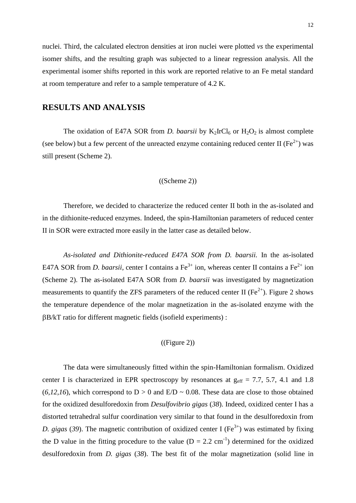nuclei. Third, the calculated electron densities at iron nuclei were plotted *vs* the experimental isomer shifts, and the resulting graph was subjected to a linear regression analysis. All the experimental isomer shifts reported in this work are reported relative to an Fe metal standard at room temperature and refer to a sample temperature of 4.2 K.

## **RESULTS AND ANALYSIS**

The oxidation of E47A SOR from *D. baarsii* by  $K_2IrCl_6$  or  $H_2O_2$  is almost complete (see below) but a few percent of the unreacted enzyme containing reduced center II ( $Fe^{2+}$ ) was still present (Scheme 2).

#### ((Scheme 2))

Therefore, we decided to characterize the reduced center II both in the as-isolated and in the dithionite-reduced enzymes. Indeed, the spin-Hamiltonian parameters of reduced center II in SOR were extracted more easily in the latter case as detailed below.

*As-isolated and Dithionite-reduced E47A SOR from D. baarsii.* In the as-isolated E47A SOR from *D. baarsii*, center I contains a  $Fe^{3+}$  ion, whereas center II contains a  $Fe^{2+}$  ion (Scheme 2). The as-isolated E47A SOR from *D. baarsii* was investigated by magnetization measurements to quantify the ZFS parameters of the reduced center II ( $Fe^{2+}$ ). Figure 2 shows the temperature dependence of the molar magnetization in the as-isolated enzyme with the B/kT ratio for different magnetic fields (isofield experiments) :

#### ((Figure 2))

The data were simultaneously fitted within the spin-Hamiltonian formalism. Oxidized center I is characterized in EPR spectroscopy by resonances at  $g_{\text{eff}} = 7.7, 5.7, 4.1$  and 1.8 (6,12,16), which correspond to  $D > 0$  and  $E/D \sim 0.08$ . These data are close to those obtained for the oxidized desulforedoxin from *Desulfovibrio gigas* (*38*). Indeed, oxidized center I has a distorted tetrahedral sulfur coordination very similar to that found in the desulforedoxin from *D. gigas* (39). The magnetic contribution of oxidized center I (Fe<sup>3+</sup>) was estimated by fixing the D value in the fitting procedure to the value  $(D = 2.2 \text{ cm}^{-1})$  determined for the oxidized desulforedoxin from *D. gigas* (*38*). The best fit of the molar magnetization (solid line in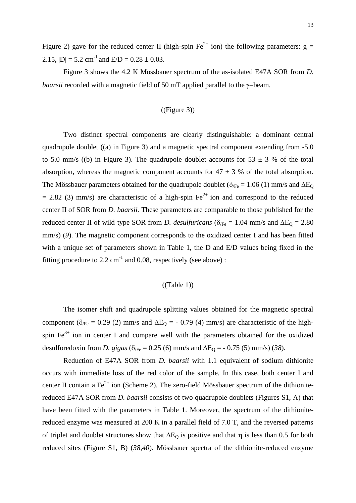Figure 2) gave for the reduced center II (high-spin Fe<sup>2+</sup> ion) the following parameters:  $g =$ 2.15,  $|D| = 5.2$  cm<sup>-1</sup> and  $E/D = 0.28 \pm 0.03$ .

Figure 3 shows the 4.2 K Mössbauer spectrum of the as-isolated E47A SOR from *D. baarsii* recorded with a magnetic field of 50 mT applied parallel to the  $\gamma$ -beam.

#### ((Figure 3))

 Two distinct spectral components are clearly distinguishable: a dominant central quadrupole doublet ((a) in Figure 3) and a magnetic spectral component extending from -5.0 to 5.0 mm/s ((b) in Figure 3). The quadrupole doublet accounts for  $53 \pm 3$  % of the total absorption, whereas the magnetic component accounts for  $47 \pm 3$  % of the total absorption. The Mössbauer parameters obtained for the quadrupole doublet ( $\delta_{\text{Fe}} = 1.06$  (1) mm/s and  $\Delta E_{\text{Q}}$  $= 2.82$  (3) mm/s) are characteristic of a high-spin Fe<sup>2+</sup> ion and correspond to the reduced center II of SOR from *D. baarsii.* These parameters are comparable to those published for the reduced center II of wild-type SOR from *D. desulfuricans* ( $\delta_{\text{Fe}} = 1.04$  mm/s and  $\Delta E_0 = 2.80$ mm/s) (9). The magnetic component corresponds to the oxidized center I and has been fitted with a unique set of parameters shown in Table 1, the D and E/D values being fixed in the fitting procedure to 2.2 cm<sup>-1</sup> and 0.08, respectively (see above):

#### $((Table 1))$

The isomer shift and quadrupole splitting values obtained for the magnetic spectral component ( $\delta_{\text{Fe}}$  = 0.29 (2) mm/s and  $\Delta E_{\text{Q}}$  = - 0.79 (4) mm/s) are characteristic of the highspin  $Fe<sup>3+</sup>$  ion in center I and compare well with the parameters obtained for the oxidized desulforedoxin from *D. gigas* ( $\delta_{\text{Fe}} = 0.25$  (6) mm/s and  $\Delta E_0 = -0.75$  (5) mm/s) (38).

Reduction of E47A SOR from *D. baarsii* with 1.1 equivalent of sodium dithionite occurs with immediate loss of the red color of the sample. In this case, both center I and center II contain a Fe<sup> $2+$ </sup> ion (Scheme 2). The zero-field Mössbauer spectrum of the dithionitereduced E47A SOR from *D. baarsii* consists of two quadrupole doublets (Figures S1, A) that have been fitted with the parameters in Table 1. Moreover, the spectrum of the dithionitereduced enzyme was measured at 200 K in a parallel field of 7.0 T, and the reversed patterns of triplet and doublet structures show that  $\Delta E_0$  is positive and that  $\eta$  is less than 0.5 for both reduced sites (Figure S1, B) (*38,40*). Mössbauer spectra of the dithionite-reduced enzyme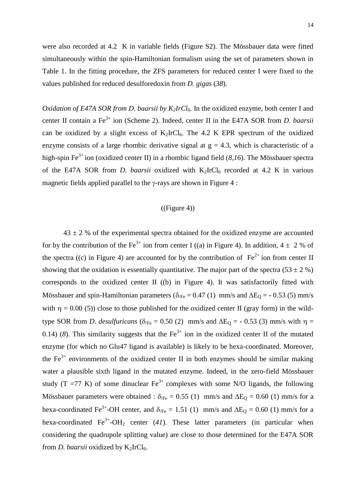were also recorded at 4.2 K in variable fields (Figure S2). The Mössbauer data were fitted simultaneously within the spin-Hamiltonian formalism using the set of parameters shown in Table 1. In the fitting procedure, the ZFS parameters for reduced center I were fixed to the values published for reduced desulforedoxin from *D. gigas* (*38*).

*Oxidation of E47A SOR from D. baarsii by K2IrCl6.* In the oxidized enzyme, both center I and center II contain a Fe3+ ion (Scheme 2). Indeed, center II in the E47A SOR from *D. baarsii* can be oxidized by a slight excess of  $K_2IrCl_6$ . The 4.2 K EPR spectrum of the oxidized enzyme consists of a large rhombic derivative signal at  $g = 4.3$ , which is characteristic of a high-spin Fe<sup>3+</sup> ion (oxidized center II) in a rhombic ligand field (*8,16*). The Mössbauer spectra of the E47A SOR from *D. baarsii* oxidized with  $K_2IrCl_6$  recorded at 4.2 K in various magnetic fields applied parallel to the  $\gamma$ -rays are shown in Figure 4 :

#### $((Figure 4))$

 $43 \pm 2$  % of the experimental spectra obtained for the oxidized enzyme are accounted for by the contribution of the Fe<sup>3+</sup> ion from center I ((a) in Figure 4). In addition,  $4 \pm 2$  % of the spectra ((c) in Figure 4) are accounted for by the contribution of  $Fe^{2+}$  ion from center II showing that the oxidation is essentially quantitative. The major part of the spectra (53  $\pm$  2 %) corresponds to the oxidized center II ((b) in Figure 4). It was satisfactorily fitted with Mössbauer and spin-Hamiltonian parameters ( $\delta_{\text{Fe}} = 0.47$  (1) mm/s and  $\Delta E_0 = -0.53$  (5) mm/s with  $\eta = 0.00$  (5)) close to those published for the oxidized center II (gray form) in the wildtype SOR from *D. desulfuricans* ( $\delta_{\text{Fe}} = 0.50$  (2) mm/s and  $\Delta E_0 = -0.53$  (3) mm/s with  $\eta =$ 0.14) (8). This similarity suggests that the  $Fe^{3+}$  ion in the oxidized center II of the mutated enzyme (for which no Glu47 ligand is available) is likely to be hexa-coordinated. Moreover, the  $Fe<sup>3+</sup>$  environments of the oxidized center II in both enzymes should be similar making water a plausible sixth ligand in the mutated enzyme. Indeed, in the zero-field Mössbauer study (T =77 K) of some dinuclear  $Fe^{3+}$  complexes with some N/O ligands, the following Mössbauer parameters were obtained :  $\delta_{\text{Fe}} = 0.55$  (1) mm/s and  $\Delta E_0 = 0.60$  (1) mm/s for a hexa-coordinated Fe<sup>3+</sup>-OH center, and  $\delta_{\text{Fe}} = 1.51$  (1) mm/s and  $\Delta E_Q = 0.60$  (1) mm/s for a hexa-coordinated  $Fe^{3+}-OH_2$  center (41). These latter parameters (in particular when considering the quadrupole splitting value) are close to those determined for the E47A SOR from *D. baarsii* oxidized by  $K_2IrCl_6$ .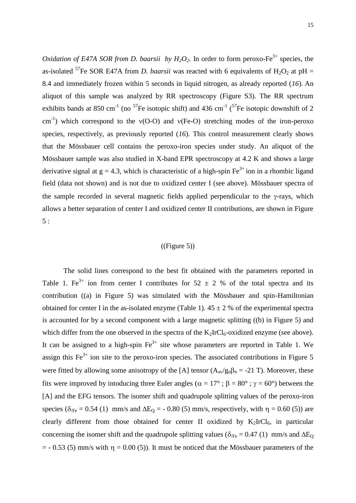*Oxidation of E47A SOR from D. baarsii by*  $H_2O_2$ *.* In order to form peroxo-Fe<sup>3+</sup> species, the as-isolated <sup>57</sup>Fe SOR E47A from *D. baarsii* was reacted with 6 equivalents of  $H_2O_2$  at pH = 8.4 and immediately frozen within 5 seconds in liquid nitrogen, as already reported (*16*). An aliquot of this sample was analyzed by RR spectroscopy (Figure S3). The RR spectrum exhibits bands at 850 cm<sup>-1</sup> (no <sup>57</sup>Fe isotopic shift) and 436 cm<sup>-1</sup> (<sup>57</sup>Fe isotopic downshift of 2 cm<sup>-1</sup>) which correspond to the  $v(O-O)$  and  $v(Fe-O)$  stretching modes of the iron-peroxo species, respectively, as previously reported (*16*). This control measurement clearly shows that the Mössbauer cell contains the peroxo-iron species under study. An aliquot of the Mössbauer sample was also studied in X-band EPR spectroscopy at 4.2 K and shows a large derivative signal at  $g = 4.3$ , which is characteristic of a high-spin Fe<sup>3+</sup> ion in a rhombic ligand field (data not shown) and is not due to oxidized center I (see above). Mössbauer spectra of the sample recorded in several magnetic fields applied perpendicular to the  $\gamma$ -rays, which allows a better separation of center I and oxidized center II contributions, are shown in Figure 5 :

#### $((Figure 5))$

The solid lines correspond to the best fit obtained with the parameters reported in Table 1. Fe<sup>3+</sup> ion from center I contributes for  $52 \pm 2$  % of the total spectra and its contribution ((a) in Figure 5) was simulated with the Mössbauer and spin-Hamiltonian obtained for center I in the as-isolated enzyme (Table 1).  $45 \pm 2$  % of the experimental spectra is accounted for by a second component with a large magnetic splitting ((b) in Figure 5) and which differ from the one observed in the spectra of the  $K_2IrCl_6$ -oxidized enzyme (see above). It can be assigned to a high-spin  $Fe^{3+}$  site whose parameters are reported in Table 1. We assign this  $Fe^{3+}$  ion site to the peroxo-iron species. The associated contributions in Figure 5 were fitted by allowing some anisotropy of the [A] tensor  $(A_{av}/g_n\beta_n = -21$  T). Moreover, these fits were improved by intoducing three Euler angles ( $\alpha = 17^{\circ}$ ;  $\beta = 80^{\circ}$ ;  $\gamma = 60^{\circ}$ ) between the [A] and the EFG tensors. The isomer shift and quadrupole splitting values of the peroxo-iron species ( $\delta_{\text{Fe}}$  = 0.54 (1) mm/s and  $\Delta E_0$  = - 0.80 (5) mm/s, respectively, with  $\eta$  = 0.60 (5)) are clearly different from those obtained for center II oxidized by  $K_2IrCl_6$ , in particular concerning the isomer shift and the quadrupole splitting values ( $\delta_{\text{Fe}} = 0.47$  (1) mm/s and  $\Delta E_{\text{O}}$  $=$  - 0.53 (5) mm/s with  $\eta$  = 0.00 (5)). It must be noticed that the Mössbauer parameters of the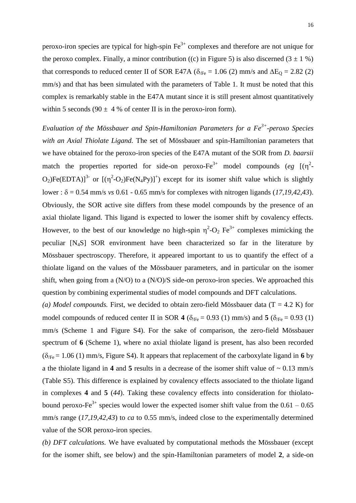peroxo-iron species are typical for high-spin  $Fe<sup>3+</sup>$  complexes and therefore are not unique for the peroxo complex. Finally, a minor contribution ((c) in Figure 5) is also discerned  $(3 \pm 1 \%)$ that corresponds to reduced center II of SOR E47A ( $\delta$ <sub>/Fe</sub> = 1.06 (2) mm/s and  $\Delta E_Q$  = 2.82 (2) mm/s) and that has been simulated with the parameters of Table 1. It must be noted that this complex is remarkably stable in the E47A mutant since it is still present almost quantitatively within 5 seconds (90  $\pm$  4 % of center II is in the peroxo-iron form).

*Evaluation of the Mössbauer and Spin-Hamiltonian Parameters for a Fe3+ -peroxo Species with an Axial Thiolate Ligand.* The set of Mössbauer and spin-Hamiltonian parameters that we have obtained for the peroxo-iron species of the E47A mutant of the SOR from *D. baarsii* match the properties reported for side-on peroxo-Fe<sup>3+</sup> model compounds (eg  $[(\eta^2 - \eta^2)^2]$  $O_2$ )Fe(EDTA)]<sup>3-</sup> or  $[(\eta^2-O_2)Fe(N_4Py)]^+$ ) except for its isomer shift value which is slightly lower :  $\delta$  = 0.54 mm/s *vs* 0.61 - 0.65 mm/s for complexes with nitrogen ligands (17,19,42,43). Obviously, the SOR active site differs from these model compounds by the presence of an axial thiolate ligand. This ligand is expected to lower the isomer shift by covalency effects. However, to the best of our knowledge no high-spin  $\eta^2$ -O<sub>2</sub> Fe<sup>3+</sup> complexes mimicking the peculiar [N4S] SOR environment have been characterized so far in the literature by Mössbauer spectroscopy. Therefore, it appeared important to us to quantify the effect of a thiolate ligand on the values of the Mössbauer parameters, and in particular on the isomer shift, when going from a (N/O) to a (N/O)/S side-on peroxo-iron species. We approached this question by combining experimental studies of model compounds and DFT calculations.

(a) Model compounds. First, we decided to obtain zero-field Mössbauer data  $(T = 4.2 K)$  for model compounds of reduced center II in SOR 4  $(\delta_{\text{Fe}} = 0.93 \text{ (1) mm/s})$  and 5  $(\delta_{\text{Fe}} = 0.93 \text{ (1)}$ mm/s (Scheme 1 and Figure S4). For the sake of comparison, the zero-field Mössbauer spectrum of **6** (Scheme 1), where no axial thiolate ligand is present, has also been recorded  $(\delta_{\text{Fe}} = 1.06 \text{ (1) mm/s}, \text{Figure S4}).$  It appears that replacement of the carboxylate ligand in 6 by a the thiolate ligand in **4** and **5** results in a decrease of the isomer shift value of  $\sim 0.13$  mm/s (Table S5). This difference is explained by covalency effects associated to the thiolate ligand in complexes **4** and **5** (*44*). Taking these covalency effects into consideration for thiolatobound peroxo-Fe<sup>3+</sup> species would lower the expected isomer shift value from the  $0.61 - 0.65$ mm/s range (*17,19,42,43*) to *ca* to 0.55 mm/s, indeed close to the experimentally determined value of the SOR peroxo-iron species.

*(b) DFT calculations.* We have evaluated by computational methods the Mössbauer (except for the isomer shift, see below) and the spin-Hamiltonian parameters of model **2**, a side-on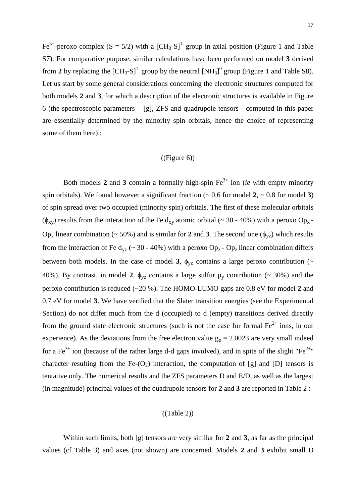Fe<sup>3+</sup>-peroxo complex (S = 5/2) with a [CH<sub>3</sub>-S]<sup>1-</sup> group in axial position (Figure 1 and Table S7). For comparative purpose, similar calculations have been performed on model **3** derived from 2 by replacing the  $\text{[CH}_{3}$ -S]<sup>1-</sup> group by the neutral  $\text{[NH}_3]^0$  group (Figure 1 and Table S8). Let us start by some general considerations concerning the electronic structures computed for both models **2** and **3**, for which a description of the electronic structures is available in Figure 6 (the spectroscopic parameters – [g], ZFS and quadrupole tensors - computed in this paper are essentially determined by the minority spin orbitals, hence the choice of representing some of them here) :

#### ((Figure 6))

Both models 2 and 3 contain a formally high-spin  $Fe^{3+}$  ion (*ie* with empty minority spin orbitals). We found however a significant fraction  $($   $\sim$  0.6 for model **2**,  $\sim$  0.8 for model **3**) of spin spread over two occupied (minority spin) orbitals. The first of these molecular orbitals ( $\phi_{xy}$ ) results from the interaction of the Fe d<sub>xy</sub> atomic orbital (~ 30 - 40%) with a peroxo Op<sub>x</sub> -Op<sub>x</sub> linear combination (~ 50%) and is similar for 2 and 3. The second one ( $\phi_{yz}$ ) which results from the interaction of Fe  $d_{vz}$  (~ 30 - 40%) with a peroxo Op<sub>z</sub> - Op<sub>z</sub> linear combination differs between both models. In the case of model 3,  $\phi_{yz}$  contains a large peroxo contribution ( $\sim$ 40%). By contrast, in model 2,  $\phi_{yz}$  contains a large sulfur  $p_y$  contribution (~ 30%) and the peroxo contribution is reduced (~20 %). The HOMO-LUMO gaps are 0.8 eV for model **2** and 0.7 eV for model **3**. We have verified that the Slater transition energies (see the Experimental Section) do not differ much from the d (occupied) to d (empty) transitions derived directly from the ground state electronic structures (such is not the case for formal  $Fe^{2+}$  ions, in our experience). As the deviations from the free electron value  $g_e = 2.0023$  are very small indeed for a Fe<sup>3+</sup> ion (because of the rather large d-d gaps involved), and in spite of the slight "Fe<sup>2+"</sup> character resulting from the Fe- $(O_2)$  interaction, the computation of [g] and [D] tensors is tentative only. The numerical results and the ZFS parameters D and E/D, as well as the largest (in magnitude) principal values of the quadrupole tensors for **2** and **3** are reported in Table 2 :

#### ((Table 2))

Within such limits, both [g] tensors are very similar for **2** and **3**, as far as the principal values (cf Table 3) and axes (not shown) are concerned. Models **2** and **3** exhibit small D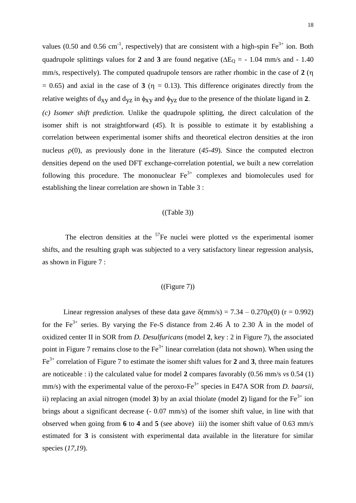values (0.50 and 0.56 cm<sup>-1</sup>, respectively) that are consistent with a high-spin  $Fe^{3+}$  ion. Both quadrupole splittings values for 2 and 3 are found negative ( $\Delta E_0$  = - 1.04 mm/s and - 1.40 mm/s, respectively). The computed quadrupole tensors are rather rhombic in the case of **2** (  $= 0.65$ ) and axial in the case of **3** ( $\eta = 0.13$ ). This difference originates directly from the relative weights of  $d_{xy}$  and  $d_{yz}$  in  $\phi_{xy}$  and  $\phi_{yz}$  due to the presence of the thiolate ligand in 2. *(c) Isomer shift prediction.* Unlike the quadrupole splitting, the direct calculation of the isomer shift is not straightforward (*45*). It is possible to estimate it by establishing a correlation between experimental isomer shifts and theoretical electron densities at the iron nucleus  $\rho(0)$ , as previously done in the literature ( $45-49$ ). Since the computed electron densities depend on the used DFT exchange-correlation potential, we built a new correlation following this procedure. The mononuclear  $Fe<sup>3+</sup>$  complexes and biomolecules used for establishing the linear correlation are shown in Table 3 :

#### $((Table 3))$

The electron densities at the  $57$ Fe nuclei were plotted *vs* the experimental isomer shifts, and the resulting graph was subjected to a very satisfactory linear regression analysis, as shown in Figure 7 :

#### $((Figure 7))$

Linear regression analyses of these data gave  $\delta$ (mm/s) = 7.34 – 0.270 $\rho$ (0) (r = 0.992) for the Fe<sup>3+</sup> series. By varying the Fe-S distance from 2.46 Å to 2.30 Å in the model of oxidized center II in SOR from *D. Desulfuricans* (model **2**, key : 2 in Figure 7), the associated point in Figure 7 remains close to the  $Fe<sup>3+</sup>$  linear correlation (data not shown). When using the Fe3+ correlation of Figure 7 to estimate the isomer shift values for **2** and **3**, three main features are noticeable : i) the calculated value for model **2** compares favorably (0.56 mm/s *vs* 0.54 (1) mm/s) with the experimental value of the peroxo-Fe<sup>3+</sup> species in E47A SOR from *D. baarsii*, ii) replacing an axial nitrogen (model 3) by an axial thiolate (model 2) ligand for the  $Fe<sup>3+</sup>$  ion brings about a significant decrease (- 0.07 mm/s) of the isomer shift value, in line with that observed when going from **6** to **4** and **5** (see above) iii) the isomer shift value of 0.63 mm/s estimated for **3** is consistent with experimental data available in the literature for similar species (*17,19*).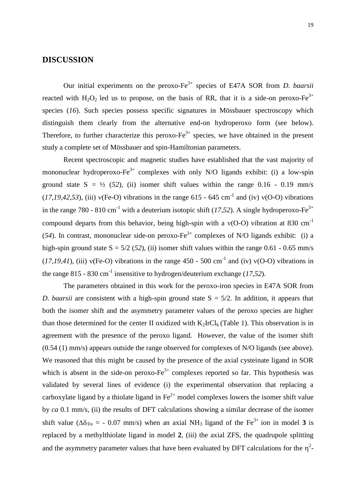## **DISCUSSION**

Our initial experiments on the peroxo-Fe3+ species of E47A SOR from *D. baarsii* reacted with  $H_2O_2$  led us to propose, on the basis of RR, that it is a side-on peroxo-Fe<sup>3+</sup> species (*16*). Such species possess specific signatures in Mössbauer spectroscopy which distinguish them clearly from the alternative end-on hydroperoxo form (see below). Therefore, to further characterize this peroxo- $Fe^{3+}$  species, we have obtained in the present study a complete set of Mössbauer and spin-Hamiltonian parameters.

Recent spectroscopic and magnetic studies have established that the vast majority of mononuclear hydroperoxo-Fe $3+$  complexes with only N/O ligands exhibit: (i) a low-spin ground state  $S = \frac{1}{2}$  (52), (ii) isomer shift values within the range 0.16 - 0.19 mm/s  $(17, 19, 42, 53)$ , (iii)  $v(Fe-O)$  vibrations in the range 615 - 645 cm<sup>-1</sup> and (iv)  $v(O-O)$  vibrations in the range 780 - 810 cm<sup>-1</sup> with a deuterium isotopic shift (17,52). A single hydroperoxo-Fe<sup>3+</sup> compound departs from this behavior, being high-spin with a  $v(O-O)$  vibration at 830 cm<sup>-1</sup> (54). In contrast, mononuclear side-on peroxo-Fe<sup>3+</sup> complexes of N/O ligands exhibit: (i) a high-spin ground state  $S = 5/2$  (52), (ii) isomer shift values within the range 0.61 - 0.65 mm/s  $(17, 19, 41)$ , (iii)  $v(Fe-O)$  vibrations in the range 450 - 500 cm<sup>-1</sup> and (iv)  $v(O-O)$  vibrations in the range 815 - 830 cm<sup>-1</sup> insensitive to hydrogen/deuterium exchange  $(17,52)$ .

The parameters obtained in this work for the peroxo-iron species in E47A SOR from *D. baarsii* are consistent with a high-spin ground state  $S = \frac{5}{2}$ . In addition, it appears that both the isomer shift and the asymmetry parameter values of the peroxo species are higher than those determined for the center II oxidized with  $K_2IrCl_6$  (Table 1). This observation is in agreement with the presence of the peroxo ligand. However, the value of the isomer shift (0.54 (1) mm/s) appears outside the range observed for complexes of N/O ligands (see above). We reasoned that this might be caused by the presence of the axial cysteinate ligand in SOR which is absent in the side-on peroxo- $Fe^{3+}$  complexes reported so far. This hypothesis was validated by several lines of evidence (i) the experimental observation that replacing a carboxylate ligand by a thiolate ligand in  $Fe^{2+}$  model complexes lowers the isomer shift value by *ca* 0.1 mm/s, (ii) the results of DFT calculations showing a similar decrease of the isomer shift value ( $\Delta \delta_{\text{Fe}}$  = - 0.07 mm/s) when an axial NH<sub>3</sub> ligand of the Fe<sup>3+</sup> ion in model **3** is replaced by a methylthiolate ligand in model **2**, (iii) the axial ZFS, the quadrupole splitting and the asymmetry parameter values that have been evaluated by DFT calculations for the  $\eta^2$ -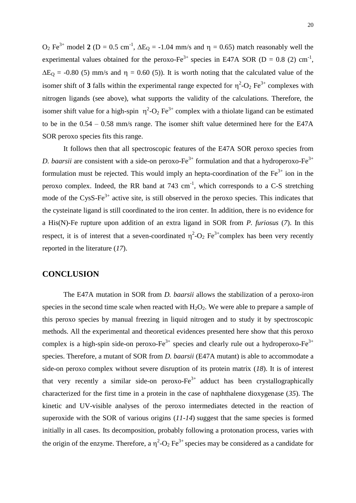$O_2$  Fe<sup>3+</sup> model 2 (D = 0.5 cm<sup>-1</sup>,  $\Delta E_Q$  = -1.04 mm/s and  $\eta$  = 0.65) match reasonably well the experimental values obtained for the peroxo-Fe<sup>3+</sup> species in E47A SOR (D = 0.8 (2) cm<sup>-1</sup>,  $\Delta E_0$  = -0.80 (5) mm/s and  $\eta$  = 0.60 (5)). It is worth noting that the calculated value of the isomer shift of 3 falls within the experimental range expected for  $\eta^2$ -O<sub>2</sub> Fe<sup>3+</sup> complexes with nitrogen ligands (see above), what supports the validity of the calculations. Therefore, the isomer shift value for a high-spin  $\eta^2$ -O<sub>2</sub> Fe<sup>3+</sup> complex with a thiolate ligand can be estimated to be in the 0.54 – 0.58 mm/s range. The isomer shift value determined here for the E47A SOR peroxo species fits this range.

It follows then that all spectroscopic features of the E47A SOR peroxo species from *D. baarsii* are consistent with a side-on peroxo- $Fe^{3+}$  formulation and that a hydroperoxo- $Fe^{3+}$ formulation must be rejected. This would imply an hepta-coordination of the  $Fe<sup>3+</sup>$  ion in the peroxo complex. Indeed, the RR band at  $743 \text{ cm}^{-1}$ , which corresponds to a C-S stretching mode of the CysS-Fe $3+$  active site, is still observed in the peroxo species. This indicates that the cysteinate ligand is still coordinated to the iron center. In addition, there is no evidence for a His(N)-Fe rupture upon addition of an extra ligand in SOR from *P. furiosus* (*7*). In this respect, it is of interest that a seven-coordinated  $\eta^2$ -O<sub>2</sub> Fe<sup>3+</sup>complex has been very recently reported in the literature (*17*).

## **CONCLUSION**

The E47A mutation in SOR from *D. baarsii* allows the stabilization of a peroxo-iron species in the second time scale when reacted with  $H_2O_2$ . We were able to prepare a sample of this peroxo species by manual freezing in liquid nitrogen and to study it by spectroscopic methods. All the experimental and theoretical evidences presented here show that this peroxo complex is a high-spin side-on peroxo-Fe<sup>3+</sup> species and clearly rule out a hydroperoxo-Fe<sup>3+</sup> species. Therefore, a mutant of SOR from *D. baarsii* (E47A mutant) is able to accommodate a side-on peroxo complex without severe disruption of its protein matrix (*18*). It is of interest that very recently a similar side-on peroxo- $Fe^{3+}$  adduct has been crystallographically characterized for the first time in a protein in the case of naphthalene dioxygenase (*35*). The kinetic and UV-visible analyses of the peroxo intermediates detected in the reaction of superoxide with the SOR of various origins (*11-14*) suggest that the same species is formed initially in all cases. Its decomposition, probably following a protonation process, varies with the origin of the enzyme. Therefore, a  $\eta^2$ -O<sub>2</sub> Fe<sup>3+</sup> species may be considered as a candidate for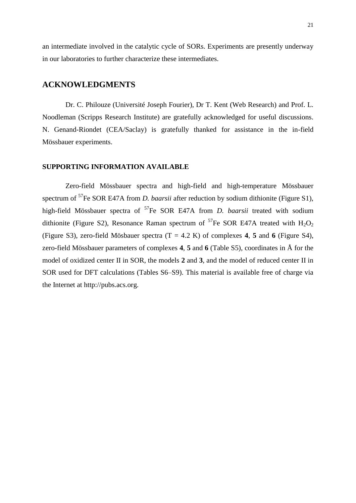an intermediate involved in the catalytic cycle of SORs. Experiments are presently underway in our laboratories to further characterize these intermediates.

## **ACKNOWLEDGMENTS**

Dr. C. Philouze (Université Joseph Fourier), Dr T. Kent (Web Research) and Prof. L. Noodleman (Scripps Research Institute) are gratefully acknowledged for useful discussions. N. Genand-Riondet (CEA/Saclay) is gratefully thanked for assistance in the in-field Mössbauer experiments.

#### **SUPPORTING INFORMATION AVAILABLE**

Zero-field Mössbauer spectra and high-field and high-temperature Mössbauer spectrum of <sup>57</sup>Fe SOR E47A from *D. baarsii* after reduction by sodium dithionite (Figure S1), high-field Mössbauer spectra of <sup>57</sup>Fe SOR E47A from *D. baarsii* treated with sodium dithionite (Figure S2), Resonance Raman spectrum of <sup>57</sup>Fe SOR E47A treated with  $H_2O_2$ (Figure S3), zero-field Mösbauer spectra (T = 4.2 K) of complexes **4**, **5** and **6** (Figure S4), zero-field Mössbauer parameters of complexes **4**, **5** and **6** (Table S5), coordinates in Å for the model of oxidized center II in SOR, the models **2** and **3**, and the model of reduced center II in SOR used for DFT calculations (Tables S6–S9). This material is available free of charge via the Internet at http://pubs.acs.org.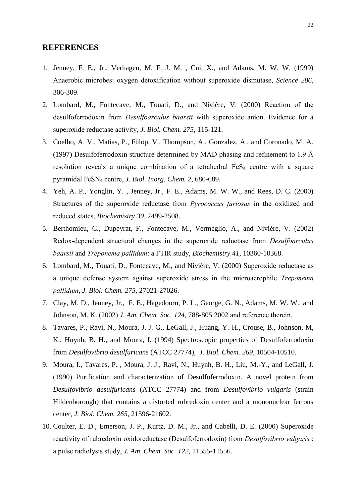#### **REFERENCES**

- 1. Jenney, F. E., Jr., Verhagen, M. F. J. M. , Cui, X., and Adams, M. W. W. (1999) Anaerobic microbes: oxygen detoxification without superoxide dismutase, *Science 286*, 306-309.
- 2. Lombard, M., Fontecave, M., Touati, D., and Nivière, V. (2000) Reaction of the desulfoferrodoxin from *Desulfoarculus baarsii* with superoxide anion. Evidence for a superoxide reductase activity, *J. Biol. Chem. 275*, 115-121.
- 3. Coelho, A. V., Matias, P., Fülöp, V., Thompson, A., Gonzalez, A., and Coronado, M. A. (1997) Desulfoferrodoxin structure determined by MAD phasing and refinement to 1.9 Å resolution reveals a unique combination of a tetrahedral  $FeS<sub>4</sub>$  centre with a square pyramidal FeSN<sup>4</sup> centre, *J. Biol. Inorg. Chem. 2*, 680-689.
- 4. Yeh, A. P., Yonglin, Y. , Jenney, Jr., F. E., Adams, M. W. W., and Rees, D. C. (2000) Structures of the superoxide reductase from *Pyrococcus furiosus* in the oxidized and reduced states, *Biochemistry 39*, 2499-2508.
- 5. Berthomieu, C., Dupeyrat, F., Fontecave, M., Verméglio, A., and Nivière, V. (2002) Redox-dependent structural changes in the superoxide reductase from *Desulfoarculus baarsii* and *Treponema pallidum*: a FTIR study, *Biochemistry 41*, 10360-10368.
- 6. Lombard, M., Touati, D., Fontecave, M., and Nivière, V. (2000) Superoxide reductase as a unique defense system against superoxide stress in the microaerophile *Treponema pallidum*, *J. Biol. Chem. 275*, 27021-27026.
- 7. Clay, M. D., Jenney, Jr., F. E., Hagedoorn, P. L., George, G. N., Adams, M. W. W., and Johnson, M. K. (2002) *J. Am. Chem. Soc. 124*, 788-805 2002 and reference therein.
- 8. Tavares, P., Ravi, N., Moura, J. J. G., LeGall, J., Huang, Y.-H., Crouse, B., Johnson, M, K., Huynh, B. H., and Moura, I. (1994) Spectroscopic properties of Desulfoferrodoxin from *Desulfovibrio desulfuricans* (ATCC 27774), *J. Biol. Chem. 269*, 10504-10510.
- 9. Moura, I., Tavares, P. , Moura, J. J., Ravi, N., Huynh, B. H., Liu, M.-Y., and LeGall, J. (1990) Purification and characterization of Desulfoferrodoxin. A novel protein from *Desulfovibrio desulfuricans* (ATCC 27774) and from *Desulfovibrio vulgaris* (strain Hildenborough) that contains a distorted rubredoxin center and a mononuclear ferrous center, *J. Biol. Chem. 265*, 21596-21602.
- 10. Coulter, E. D., Emerson, J. P., Kurtz, D. M., Jr., and Cabelli, D. E. (2000) Superoxide reactivity of rubredoxin oxidoreductase (Desulfoferrodoxin) from *Desulfovibrio vulgaris* : a pulse radiolysis study, *J. Am. Chem. Soc. 122*, 11555-11556.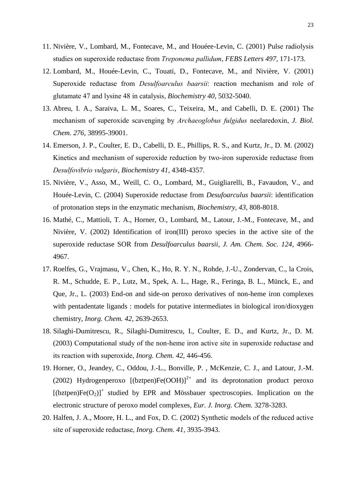- 11. Nivière, V., Lombard, M., Fontecave, M., and Houéee-Levin, C. (2001) Pulse radiolysis studies on superoxide reductase from *Treponema pallidum*, *FEBS Letters 497*, 171-173.
- 12. Lombard, M., Houée-Levin, C., Touati, D., Fontecave, M., and Nivière, V. (2001) Superoxide reductase from *Desulfoarculus baarsii*: reaction mechanism and role of glutamate 47 and lysine 48 in catalysis, *Biochemistry 40*, 5032-5040.
- 13. Abreu, I. A., Saraiva, L. M., Soares, C., Teixeira, M., and Cabelli, D. E. (2001) The mechanism of superoxide scavenging by *Archaeoglobus fulgidus* neelaredoxin, *J. Biol. Chem. 276*, 38995-39001.
- 14. Emerson, J. P., Coulter, E. D., Cabelli, D. E., Phillips, R. S., and Kurtz, Jr., D. M. (2002) Kinetics and mechanism of superoxide reduction by two-iron superoxide reductase from *Desulfovibrio vulgaris*, *Biochemistry 41*, 4348-4357.
- 15. Nivière, V., Asso, M., Weill, C. O., Lombard, M., Guigliarelli, B., Favaudon, V., and Houée-Levin, C. (2004) Superoxide reductase from *Desufoarculus baarsii*: identification of protonation steps in the enzymatic mechanism, *Biochemistry, 43*, 808-8018.
- 16. Mathé, C., Mattioli, T. A., Horner, O., Lombard, M., Latour, J.-M., Fontecave, M., and Nivière, V. (2002) Identification of iron(III) peroxo species in the active site of the superoxide reductase SOR from *Desulfoarculus baarsii*, *J. Am. Chem. Soc. 124*, 4966- 4967.
- 17. Roelfes, G., Vrajmasu, V., Chen, K., Ho, R. Y. N., Rohde, J.-U., Zondervan, C., la Crois, R. M., Schudde, E. P., Lutz, M., Spek, A. L., Hage, R., Feringa, B. L., Münck, E., and Que, Jr., L. (2003) End-on and side-on peroxo derivatives of non-heme iron complexes with pentadentate ligands : models for putative intermediates in biological iron/dioxygen chemistry, *Inorg. Chem. 42*, 2639-2653.
- 18. Silaghi-Dumitrescu, R., Silaghi-Dumitrescu, I., Coulter, E. D., and Kurtz, Jr*.,* D. M. (2003) Computational study of the non-heme iron active site in superoxide reductase and its reaction with superoxide, *Inorg. Chem. 42*, 446-456.
- 19. Horner, O., Jeandey, C., Oddou, J.-L., Bonville, P. , McKenzie, C. J., and Latour, J.-M. (2002) Hydrogenperoxo  $[(bztpen)Fe(OOH)]^{2+}$  and its deprotonation product peroxo  $[(bztpen)Fe(O<sub>2</sub>)]<sup>+</sup>$  studied by EPR and Mössbauer spectroscopies. Implication on the electronic structure of peroxo model complexes, *Eur. J. Inorg. Chem.* 3278-3283.
- 20. Halfen, J. A., Moore, H. L., and Fox, D. C. (2002) Synthetic models of the reduced active site of superoxide reductase, *Inorg. Chem. 41*, 3935-3943.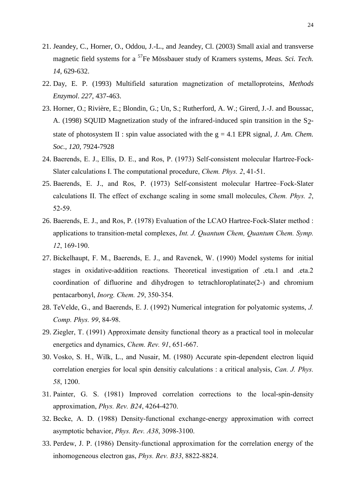- 21. Jeandey, C., Horner, O., Oddou, J.-L., and Jeandey, Cl. (2003) Small axial and transverse magnetic field systems for a <sup>57</sup>Fe Mössbauer study of Kramers systems, *Meas. Sci. Tech. 14*, 629-632.
- 22. Day, E. P*.* (1993) Multifield saturation magnetization of metalloproteins, *Methods Enzymol*. *227*, 437-463.
- 23. Horner, O.; Rivière, E.; Blondin, G.; Un, S.; Rutherford, A. W.; Girerd, J.-J. and Boussac, A. (1998) SQUID Magnetization study of the infrared-induced spin transition in the S2 state of photosystem II : spin value associated with the  $g = 4.1$  EPR signal, *J. Am. Chem. Soc.*, *120*, 7924-7928
- 24. Baerends, E. J., Ellis, D. E., and Ros, P. (1973) Self-consistent molecular Hartree-Fock-Slater calculations I. The computational procedure, *Chem. Phys. 2*, 41-51.
- 25. Baerends, E. J., and Ros, P. (1973) Self-consistent molecular Hartree–Fock-Slater calculations II. The effect of exchange scaling in some small molecules, *Chem. Phys. 2*, 52-59.
- 26. Baerends, E. J., and Ros, P. (1978) Evaluation of the LCAO Hartree-Fock-Slater method : applications to transition-metal complexes, *Int. J. Quantum Chem, Quantum Chem. Symp. 12*, 169-190.
- 27. Bickelhaupt, F. M., Baerends, E. J., and Ravenek, W. (1990) Model systems for initial stages in oxidative-addition reactions. Theoretical investigation of .eta.1 and .eta.2 coordination of difluorine and dihydrogen to tetrachloroplatinate(2-) and chromium pentacarbonyl, *Inorg. Chem. 29*, 350-354.
- 28. TeVelde, G., and Baerends, E. J. (1992) Numerical integration for polyatomic systems, *J. Comp. Phys. 99*, 84-98.
- 29. Ziegler, T. (1991) Approximate density functional theory as a practical tool in molecular energetics and dynamics, *Chem. Rev. 91*, 651-667.
- 30. Vosko, S. H., Wilk, L., and Nusair, M. (1980) Accurate spin-dependent electron liquid correlation energies for local spin densitiy calculations : a critical analysis, *Can. J. Phys. 58*, 1200.
- 31. Painter, G. S. (1981) Improved correlation corrections to the local-spin-density approximation, *Phys. Rev. B24*, 4264-4270.
- 32. Becke, A. D. (1988) Density-functional exchange-energy approximation with correct asymptotic behavior, *Phys. Rev. A38*, 3098-3100.
- 33. Perdew, J. P. (1986) Density-functional approximation for the correlation energy of the inhomogeneous electron gas, *Phys. Rev. B33*, 8822-8824.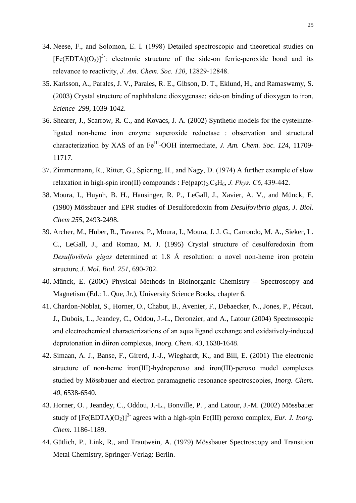- 34. Neese, F., and Solomon, E. I. (1998) Detailed spectroscopic and theoretical studies on  $[Fe(EDTA)(O<sub>2</sub>)]<sup>3</sup>$ : electronic structure of the side-on ferric-peroxide bond and its relevance to reactivity, *J. Am. Chem. Soc. 120*, 12829-12848.
- 35. Karlsson, A., Parales, J. V., Parales, R. E., Gibson, D. T., Eklund, H., and Ramaswamy, S. (2003) Crystal structure of naphthalene dioxygenase: side-on binding of dioxygen to iron, *Science 299*, 1039-1042.
- 36. Shearer, J., Scarrow, R. C., and Kovacs, J. A. (2002) Synthetic models for the cysteinateligated non-heme iron enzyme superoxide reductase : observation and structural characterization by XAS of an Fe<sup>III</sup>-OOH intermediate, *J. Am. Chem. Soc.* 124, 11709-11717.
- 37. Zimmermann, R., Ritter, G., Spiering, H., and Nagy, D. (1974) A further example of slow relaxation in high-spin iron(II) compounds :  $Fe$ (papt) $_2$ ,  $C_6$ H $_6$ , *J. Phys. C6*, 439-442.
- 38. Moura, I., Huynh, B. H., Hausinger, R. P., LeGall, J., Xavier, A. V., and Münck, E. (1980) Mössbauer and EPR studies of Desulforedoxin from *Desulfovibrio gigas*, *J. Biol. Chem 255*, 2493-2498.
- 39. Archer, M., Huber, R., Tavares, P., Moura, I., Moura, J. J. G., Carrondo, M. A., Sieker, L. C., LeGall, J., and Romao, M. J. (1995) Crystal structure of desulforedoxin from *Desulfovibrio gigas* determined at 1.8 Å resolution: a novel non-heme iron protein structure, *J. Mol. Biol. 251*, 690-702.
- 40. Münck, E. (2000) Physical Methods in Bioinorganic Chemistry Spectroscopy and Magnetism (Ed.: L. Que, Jr.), University Science Books, chapter 6.
- 41. Chardon-Noblat, S., Horner, O., Chabut, B., Avenier, F., Debaecker, N., Jones, P., Pécaut, J., Dubois, L., Jeandey, C., Oddou, J.-L., Deronzier, and A., Latour (2004) Spectroscopic and electrochemical characterizations of an aqua ligand exchange and oxidatively-induced deprotonation in diiron complexes, *Inorg. Chem. 43*, 1638-1648.
- 42. Simaan, A. J., Banse, F., Girerd, J.-J., Wieghardt, K., and Bill, E. (2001) The electronic structure of non-heme iron(III)-hydroperoxo and iron(III)-peroxo model complexes studied by Mössbauer and electron paramagnetic resonance spectroscopies, *Inorg. Chem. 40*, 6538-6540.
- 43. Horner, O. , Jeandey, C., Oddou, J.-L., Bonville, P. , and Latour, J.-M. (2002) Mössbauer study of  $[Fe(EDTA)(O<sub>2</sub>)]<sup>3</sup>$  agrees with a high-spin Fe(III) peroxo complex, *Eur. J. Inorg. Chem.* 1186-1189.
- 44. Gütlich, P., Link, R., and Trautwein, A. (1979) Mössbauer Spectroscopy and Transition Metal Chemistry, Springer-Verlag: Berlin.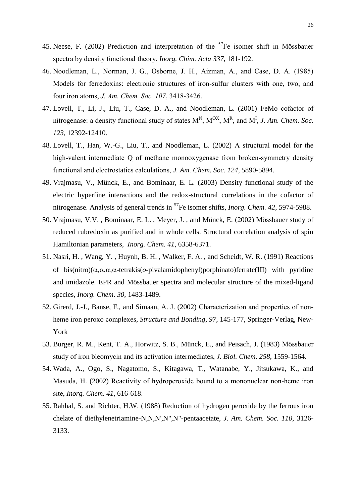- 45. Neese, F. (2002) Prediction and interpretation of the  $57Fe$  isomer shift in Mössbauer spectra by density functional theory, *Inorg. Chim. Acta 337*, 181-192.
- 46. Noodleman, L., Norman, J. G., Osborne, J. H., Aizman, A., and Case, D. A. (1985) Models for ferredoxins: electronic structures of iron-sulfur clusters with one, two, and four iron atoms, *J. Am. Chem. Soc. 107*, 3418-3426.
- 47. Lovell, T., Li, J., Liu, T., Case, D. A., and Noodleman, L. (2001) FeMo cofactor of nitrogenase: a density functional study of states  $M^N$ ,  $M^{OX}$ ,  $M^R$ , and  $M^I$ , *J. Am. Chem. Soc. 123*, 12392-12410.
- 48. Lovell, T., Han, W.-G., Liu, T., and Noodleman, L. (2002) A structural model for the high-valent intermediate Q of methane monooxygenase from broken-symmetry density functional and electrostatics calculations, *J. Am. Chem. Soc. 124*, 5890-5894.
- 49. Vrajmasu, V., Münck, E., and Bominaar, E. L. (2003) Density functional study of the electric hyperfine interactions and the redox-structural correlations in the cofactor of nitrogenase. Analysis of general trends in <sup>57</sup>Fe isomer shifts, *Inorg. Chem. 42*, 5974-5988.
- 50. Vrajmasu, V.V. , Bominaar, E. L. , Meyer, J. , and Münck, E. (2002) Mössbauer study of reduced rubredoxin as purified and in whole cells. Structural correlation analysis of spin Hamiltonian parameters, *Inorg. Chem. 41*, 6358-6371.
- 51. Nasri, H. , Wang, Y. , Huynh, B. H. , Walker, F. A. , and Scheidt, W. R. (1991) Reactions of bis(nitro)( $\alpha, \alpha, \alpha$ ,  $\alpha$ -tetrakis( $\alpha$ -pivalamidophenyl)porphinato)ferrate(III) with pyridine and imidazole. EPR and Mössbauer spectra and molecular structure of the mixed-ligand species, *Inorg. Chem*. *30*, 1483-1489.
- 52. Girerd, J.-J., Banse, F., and Simaan, A. J. (2002) Characterization and properties of nonheme iron peroxo complexes, *Structure and Bonding*, *97*, 145-177, Springer-Verlag, New-York
- 53. Burger, R. M., Kent, T. A., Horwitz, S. B., Münck, E., and Peisach, J. (1983) Mössbauer study of iron bleomycin and its activation intermediates, *J. Biol. Chem. 258*, 1559-1564.
- 54. Wada, A., Ogo, S., Nagatomo, S., Kitagawa, T., Watanabe, Y., Jitsukawa, K., and Masuda, H. (2002) Reactivity of hydroperoxide bound to a mononuclear non-heme iron site, *Inorg. Chem. 41*, 616-618.
- 55. Rahhal, S. and Richter, H.W. (1988) Reduction of hydrogen peroxide by the ferrous iron chelate of diethylenetriamine-N,N,N',N",N"-pentaacetate, *J. Am. Chem. Soc. 110*, 3126- 3133.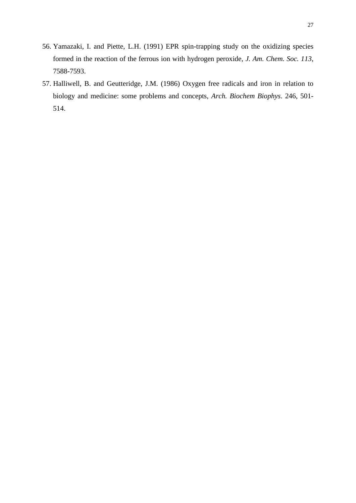- 56. Yamazaki, I. and Piette, L.H. (1991) EPR spin-trapping study on the oxidizing species formed in the reaction of the ferrous ion with hydrogen peroxide, *J. Am. Chem. Soc. 113*, 7588-7593.
- 57. Halliwell, B. and Geutteridge, J.M. (1986) Oxygen free radicals and iron in relation to biology and medicine: some problems and concepts, *Arch. Biochem Biophys*. 246, 501- 514.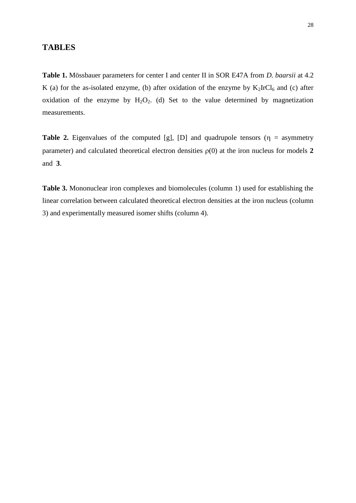## **TABLES**

**Table 1.** Mössbauer parameters for center I and center II in SOR E47A from *D. baarsii* at 4.2 K (a) for the as-isolated enzyme, (b) after oxidation of the enzyme by  $K_2IrCl_6$  and (c) after oxidation of the enzyme by  $H_2O_2$ . (d) Set to the value determined by magnetization measurements.

**Table 2.** Eigenvalues of the computed [g], [D] and quadrupole tensors ( $\eta$  = asymmetry parameter) and calculated theoretical electron densities  $\rho(0)$  at the iron nucleus for models 2 and **3**.

**Table 3.** Mononuclear iron complexes and biomolecules (column 1) used for establishing the linear correlation between calculated theoretical electron densities at the iron nucleus (column 3) and experimentally measured isomer shifts (column 4).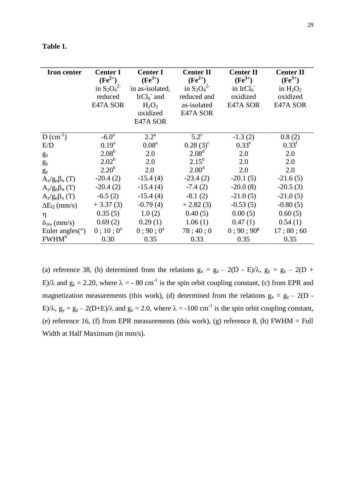| l'able |  |
|--------|--|
|--------|--|

| <b>Iron center</b>          | <b>Center I</b><br>$(Fe^{2+})$<br>in $S_2O_4^2$<br>reduced<br>E47A SOR | <b>Center I</b><br>$(Fe^{3+})$<br>in as-isolated,<br>IrCl <sub>6</sub> and<br>$H_2O_2$<br>oxidized<br>E47A SOR | <b>Center II</b><br>$(Fe^{2+})$<br>in $S_2O_4^2$<br>reduced and<br>as-isolated<br>E47A SOR | <b>Center II</b><br>$(Fe^{3+})$<br>in $IrCl6$<br>oxidized<br>E47A SOR | <b>Center II</b><br>$(Fe^{3+})$<br>in $H_2O_2$<br>oxidized<br>E47A SOR |
|-----------------------------|------------------------------------------------------------------------|----------------------------------------------------------------------------------------------------------------|--------------------------------------------------------------------------------------------|-----------------------------------------------------------------------|------------------------------------------------------------------------|
| $D$ (cm <sup>-1</sup> )     | $-6.0^{\rm a}$                                                         | $2.2^{\rm a}$                                                                                                  | $5.2^{\circ}$                                                                              | $-1.3(2)$                                                             | 0.8(2)                                                                 |
| E/D                         | $0.19^{a}$                                                             | 0.08 <sup>a</sup>                                                                                              | $0.28(3)^{c}$                                                                              | $0.33^e$                                                              | $0.33^f$                                                               |
| $g_{x}$                     | $2.08^{b}$                                                             | 2.0                                                                                                            | 2.08 <sup>d</sup>                                                                          | 2.0                                                                   | 2.0                                                                    |
| $g_y$                       | $2.02^b$                                                               | 2.0                                                                                                            | $2.15^{\rm d}$                                                                             | 2.0                                                                   | 2.0                                                                    |
| $g_{z}$                     | $2.20^{b}$                                                             | 2.0                                                                                                            | 2.00 <sup>d</sup>                                                                          | 2.0                                                                   | 2.0                                                                    |
| $A_x/g_n\beta_n(T)$         | $-20.4(2)$                                                             | $-15.4(4)$                                                                                                     | $-23.4(2)$                                                                                 | $-20.1(5)$                                                            | $-21.6(5)$                                                             |
| $A_{y}/g_{n}\beta_{n}$ (T)  | $-20.4(2)$                                                             | $-15.4(4)$                                                                                                     | $-7.4(2)$                                                                                  | $-20.0(8)$                                                            | $-20.5(3)$                                                             |
| $A_z/g_n\beta_n(T)$         | $-6.5(2)$                                                              | $-15.4(4)$                                                                                                     | $-8.1(2)$                                                                                  | $-21.0(5)$                                                            | $-21.0(5)$                                                             |
| $\Delta E_O$ (mm/s)         | $+3.37(3)$                                                             | $-0.79(4)$                                                                                                     | $+2.82(3)$                                                                                 | $-0.53(5)$                                                            | $-0.80(5)$                                                             |
| η                           | 0.35(5)                                                                | 1.0(2)                                                                                                         | 0.40(5)                                                                                    | 0.00(5)                                                               | 0.60(5)                                                                |
| $\delta_{\text{Fe}}$ (mm/s) | 0.69(2)                                                                | 0.29(1)                                                                                                        | 1.06(1)                                                                                    | 0.47(1)                                                               | 0.54(1)                                                                |
| Euler angles( $\circ$ )     | $0$ ; 10; $0^a$                                                        | $0:90:0^a$                                                                                                     | 78;40;0                                                                                    | $0:90:90^g$                                                           | 17;80;60                                                               |
| FWHM <sup>h</sup>           | 0.30                                                                   | 0.35                                                                                                           | 0.33                                                                                       | 0.35                                                                  | 0.35                                                                   |

(a) reference 38, (b) determined from the relations  $g_x = g_z - 2(D - E)/\lambda$ ,  $g_y = g_z - 2(D + E)/\lambda$ E)/ $\lambda$  and  $g_z = 2.20$ , where  $\lambda = -80$  cm<sup>-1</sup> is the spin orbit coupling constant, (c) from EPR and magnetization measurements (this work), (d) determined from the relations  $g_x = g_z - 2(D -$ E)/ $\lambda$ ,  $g_y = g_z - 2(D+E)/\lambda$  and  $g_z = 2.0$ , where  $\lambda = -100$  cm<sup>-1</sup> is the spin orbit coupling constant, (e) reference 16, (f) from EPR measurements (this work), (g) reference 8, (h) FWHM = Full Width at Half Maximum (in mm/s).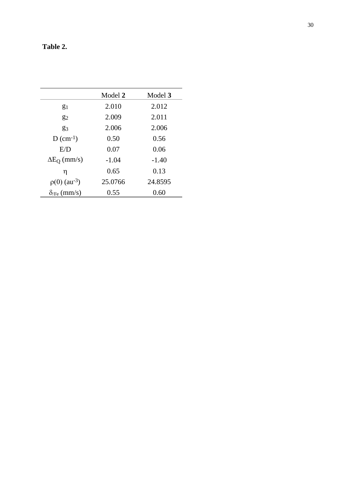| Table 2. |
|----------|
|          |

|                                | Model 2 | Model 3 |  |
|--------------------------------|---------|---------|--|
| $g_1$                          | 2.010   | 2.012   |  |
| $g_2$                          | 2.009   | 2.011   |  |
| $g_3$                          | 2.006   | 2.006   |  |
| $D$ (cm <sup>-1</sup> )        | 0.50    | 0.56    |  |
| E/D                            | 0.07    | 0.06    |  |
| $\Delta E_O$ (mm/s)            | $-1.04$ | $-1.40$ |  |
| η                              | 0.65    | 0.13    |  |
| $\rho(0)$ (au <sup>-3</sup> )  | 25.0766 | 24.8595 |  |
| $\delta$ <sub>/Fe</sub> (mm/s) | 0.55    | 0.60    |  |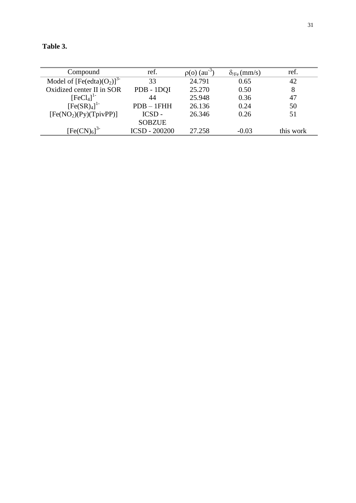| l'able |  |
|--------|--|
|--------|--|

| Compound                            | ref.                 | $\rho$ (o) (au <sup>-3</sup> ) | $\delta_{\text{Fe}}$ (mm/s) | ref.      |
|-------------------------------------|----------------------|--------------------------------|-----------------------------|-----------|
| Model of $[Fe(edta)(O2)]3$          | 33                   | 24.791                         | 0.65                        | 42        |
| Oxidized center II in SOR           | PDB - 1DQI           | 25.270                         | 0.50                        | 8         |
| $[FeCl4]$ <sup>1-</sup>             | 44                   | 25.948                         | 0.36                        | 47        |
| [Fe(SR) <sub>4</sub> ] <sup>1</sup> | $PDB - 1FHH$         | 26.136                         | 0.24                        | 50        |
| [Fe(NO <sub>2</sub> )(Py)(TpivPP)]  | ICSD-                | 26.346                         | 0.26                        | 51        |
|                                     | <b>SOBZUE</b>        |                                |                             |           |
| $[Fe(CN)6]$ <sup>3-</sup>           | <b>ICSD - 200200</b> | 27.258                         | $-0.03$                     | this work |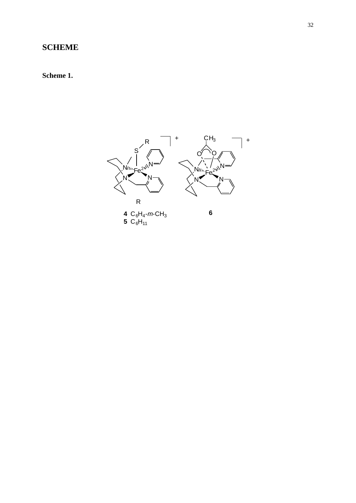## **SCHEME**

## **Scheme 1.**

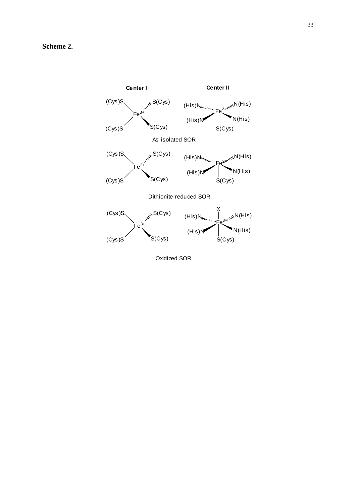

Oxidized SOR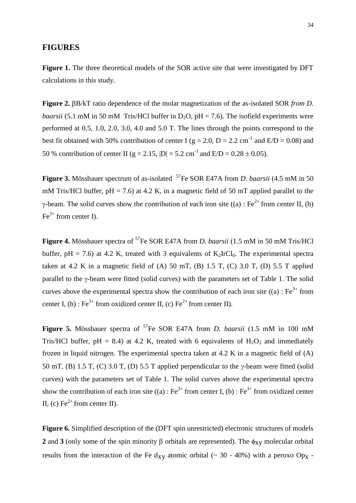#### **FIGURES**

Figure 1. The three theoretical models of the SOR active site that were investigated by DFT calculations in this study.

**Figure 2.** BB/kT ratio dependence of the molar magnetization of the as-isolated SOR *from D*. *baarsii* (5.1 mM in 50 mM Tris/HCl buffer in  $D_2O$ ,  $pH = 7.6$ ). The isofield experiments were performed at 0.5, 1.0, 2.0, 3.0, 4.0 and 5.0 T. The lines through the points correspond to the best fit obtained with 50% contribution of center I ( $g = 2.0$ ,  $D = 2.2$  cm<sup>-1</sup> and  $E/D = 0.08$ ) and 50 % contribution of center II (g = 2.15,  $|D| = 5.2$  cm<sup>-1</sup> and E/D = 0.28  $\pm$  0.05).

Figure 3. Mössbauer spectrum of as-isolated <sup>57</sup>Fe SOR E47A from *D. baarsii* (4.5 mM in 50 mM Tris/HCl buffer,  $pH = 7.6$ ) at 4.2 K, in a magnetic field of 50 mT applied parallel to the  $\gamma$ -beam. The solid curves show the contribution of each iron site ((a) : Fe<sup>2+</sup> from center II, (b)  $Fe<sup>3+</sup>$  from center I).

**Figure 4.** Mössbauer spectra of <sup>57</sup>Fe SOR E47A from *D. baarsii* (1.5 mM in 50 mM Tris/HCl buffer, pH = 7.6) at 4.2 K, treated with 3 equivalents of  $K_2IrCl_6$ . The experimental spectra taken at 4.2 K in a magnetic field of (A) 50 mT, (B) 1.5 T, (C) 3.0 T, (D) 5.5 T applied parallel to the  $\gamma$ -beam were fitted (solid curves) with the parameters set of Table 1. The solid curves above the experimental spectra show the contribution of each iron site ((a) :  $Fe^{3+}$  from center I, (b) : Fe<sup>3+</sup> from oxidized center II, (c) Fe<sup>2+</sup> from center II).

**Figure 5.** Mössbauer spectra of <sup>57</sup>Fe SOR E47A from *D. baarsii* (1.5 mM in 100 mM Tris/HCl buffer, pH = 8.4) at 4.2 K, treated with 6 equivalents of  $H_2O_2$  and immediately frozen in liquid nitrogen. The experimental spectra taken at 4.2 K in a magnetic field of (A) 50 mT, (B) 1.5 T, (C) 3.0 T, (D) 5.5 T applied perpendicular to the  $\gamma$ -beam were fitted (solid curves) with the parameters set of Table 1. The solid curves above the experimental spectra show the contribution of each iron site  $((a) : Fe^{3+}$  from center I, (b) : Fe<sup>3+</sup> from oxidized center II, (c)  $Fe^{2+}$  from center II).

**Figure 6.** Simplified description of the (DFT spin unrestricted) electronic structures of models **2** and **3** (only some of the spin minority  $\beta$  orbitals are represented). The  $\phi_{\text{XV}}$  molecular orbital results from the interaction of the Fe d<sub>xy</sub> atomic orbital ( $\sim$  30 - 40%) with a peroxo Op<sub>x</sub> -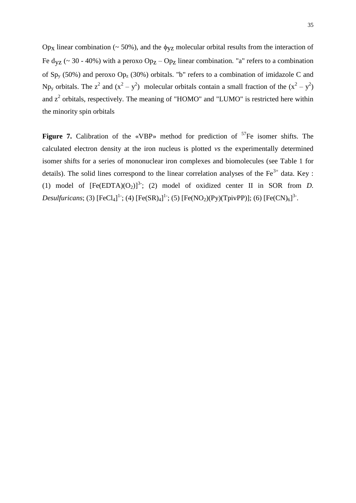Op<sub>x</sub> linear combination (~ 50%), and the  $\phi_{VZ}$  molecular orbital results from the interaction of Fe d<sub>yz</sub> (~ 30 - 40%) with a peroxo  $Op<sub>Z</sub> - Op<sub>Z</sub>$  linear combination. "a" refers to a combination of Sp<sub>y</sub> (50%) and peroxo Op<sub>z</sub> (30%) orbitals. "b" refers to a combination of imidazole C and Np<sub>y</sub> orbitals. The z<sup>2</sup> and  $(x^2 - y^2)$  molecular orbitals contain a small fraction of the  $(x^2 - y^2)$ and  $z^2$  orbitals, respectively. The meaning of "HOMO" and "LUMO" is restricted here within the minority spin orbitals

Figure 7. Calibration of the «VBP» method for prediction of <sup>57</sup>Fe isomer shifts. The calculated electron density at the iron nucleus is plotted *vs* the experimentally determined isomer shifts for a series of mononuclear iron complexes and biomolecules (see Table 1 for details). The solid lines correspond to the linear correlation analyses of the Fe<sup>3+</sup> data. Key : (1) model of  $[Fe(EDTA)(O<sub>2</sub>)]<sup>3</sup>$ ; (2) model of oxidized center II in SOR from *D*. *Desulfuricans*; (3)  $[FeCl_4]^1$ ; (4)  $[Fe(SR)_4]^1$ ; (5)  $[Fe(NO_2)(Py)(TpivPP)]$ ; (6)  $[Fe(CN)_6]^3$ .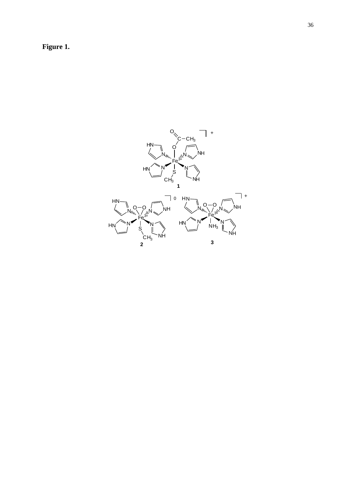**Figure 1.**

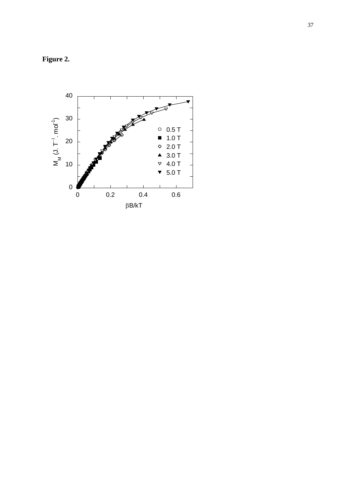**Figure 2.**

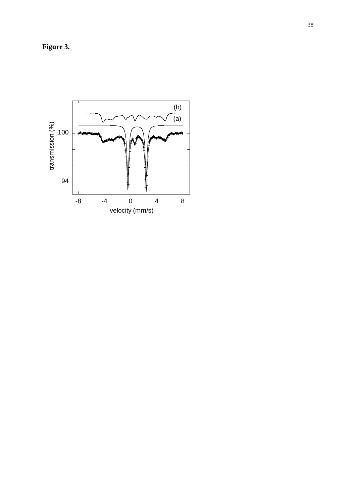**Figure 3.**

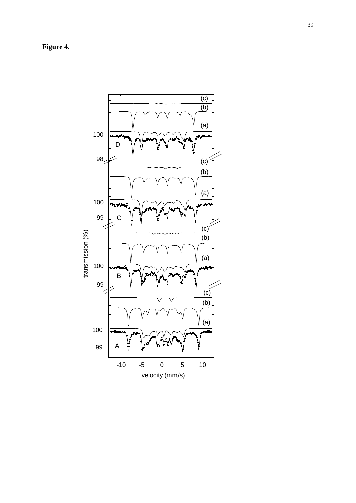**Figure 4.**

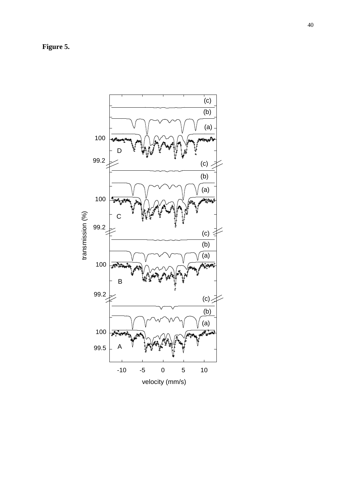**Figure 5.**

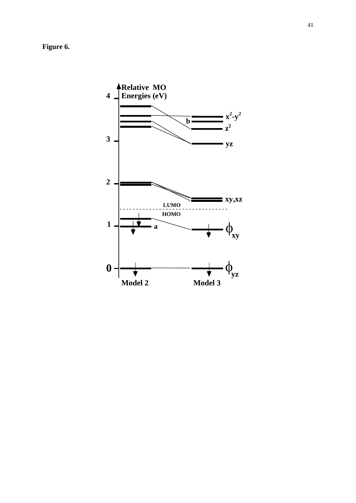**Figure 6.**

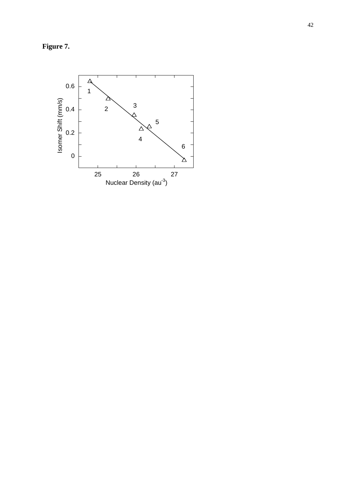**Figure 7.**